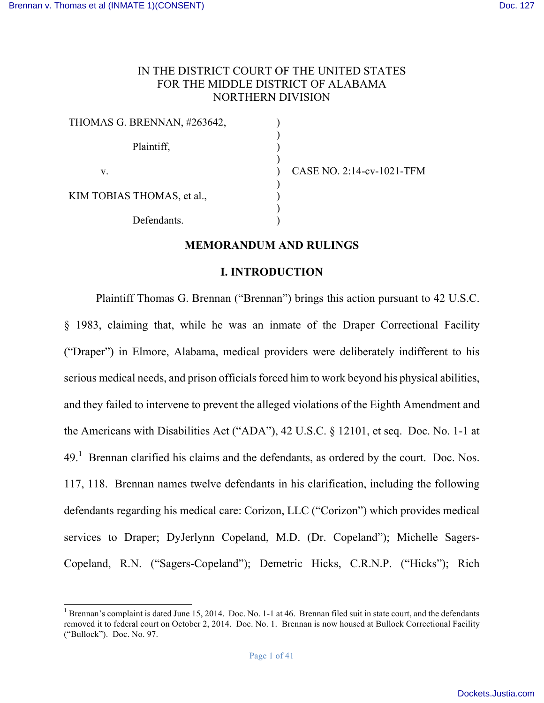# IN THE DISTRICT COURT OF THE UNITED STATES FOR THE MIDDLE DISTRICT OF ALABAMA NORTHERN DIVISION

) ) ) )  $\overline{\mathcal{L}}$ ) ) ) )

| THOMAS G. BRENNAN, #263642, |  |
|-----------------------------|--|
| Plaintiff,                  |  |
| V.                          |  |
| KIM TOBIAS THOMAS, et al.,  |  |
| Defendants.                 |  |

CASE NO. 2:14-cv-1021-TFM

# **MEMORANDUM AND RULINGS**

#### **I. INTRODUCTION**

Plaintiff Thomas G. Brennan ("Brennan") brings this action pursuant to 42 U.S.C. § 1983, claiming that, while he was an inmate of the Draper Correctional Facility ("Draper") in Elmore, Alabama, medical providers were deliberately indifferent to his serious medical needs, and prison officials forced him to work beyond his physical abilities, and they failed to intervene to prevent the alleged violations of the Eighth Amendment and the Americans with Disabilities Act ("ADA"), 42 U.S.C. § 12101, et seq. Doc. No. 1-1 at  $49<sup>1</sup>$  Brennan clarified his claims and the defendants, as ordered by the court. Doc. Nos. 117, 118. Brennan names twelve defendants in his clarification, including the following defendants regarding his medical care: Corizon, LLC ("Corizon") which provides medical services to Draper; DyJerlynn Copeland, M.D. (Dr. Copeland"); Michelle Sagers-Copeland, R.N. ("Sagers-Copeland"); Demetric Hicks, C.R.N.P. ("Hicks"); Rich

<sup>&</sup>lt;sup>1</sup> Brennan's complaint is dated June 15, 2014. Doc. No. 1-1 at 46. Brennan filed suit in state court, and the defendants removed it to federal court on October 2, 2014. Doc. No. 1. Brennan is now housed at Bullock Correctional Facility ("Bullock"). Doc. No. 97.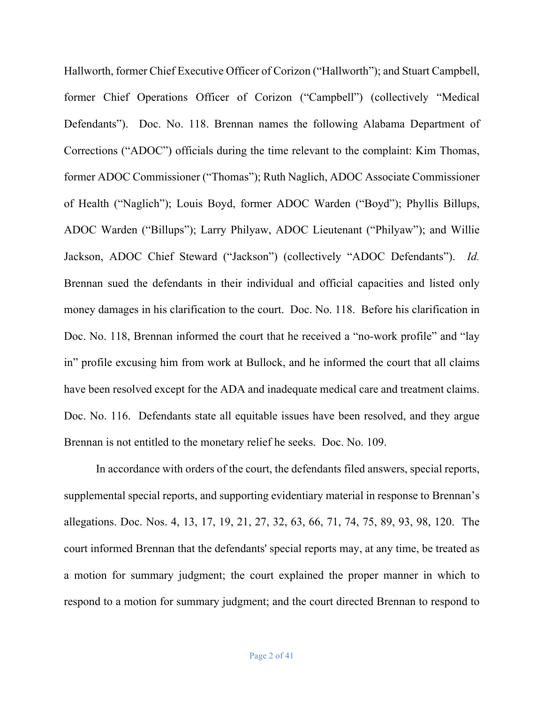Hallworth, former Chief Executive Officer of Corizon ("Hallworth"); and Stuart Campbell, former Chief Operations Officer of Corizon ("Campbell") (collectively "Medical Defendants"). Doc. No. 118. Brennan names the following Alabama Department of Corrections ("ADOC") officials during the time relevant to the complaint: Kim Thomas, former ADOC Commissioner ("Thomas"); Ruth Naglich, ADOC Associate Commissioner of Health ("Naglich"); Louis Boyd, former ADOC Warden ("Boyd"); Phyllis Billups, ADOC Warden ("Billups"); Larry Philyaw, ADOC Lieutenant ("Philyaw"); and Willie Jackson, ADOC Chief Steward ("Jackson") (collectively "ADOC Defendants"). *Id.* Brennan sued the defendants in their individual and official capacities and listed only money damages in his clarification to the court. Doc. No. 118. Before his clarification in Doc. No. 118, Brennan informed the court that he received a "no-work profile" and "lay in" profile excusing him from work at Bullock, and he informed the court that all claims have been resolved except for the ADA and inadequate medical care and treatment claims. Doc. No. 116. Defendants state all equitable issues have been resolved, and they argue Brennan is not entitled to the monetary relief he seeks. Doc. No. 109.

In accordance with orders of the court, the defendants filed answers, special reports, supplemental special reports, and supporting evidentiary material in response to Brennan's allegations. Doc. Nos. 4, 13, 17, 19, 21, 27, 32, 63, 66, 71, 74, 75, 89, 93, 98, 120. The court informed Brennan that the defendants' special reports may, at any time, be treated as a motion for summary judgment; the court explained the proper manner in which to respond to a motion for summary judgment; and the court directed Brennan to respond to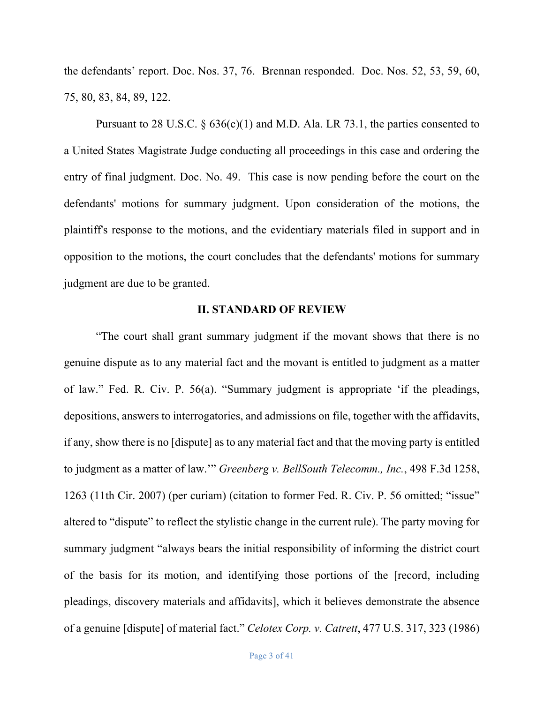the defendants' report. Doc. Nos. 37, 76. Brennan responded. Doc. Nos. 52, 53, 59, 60, 75, 80, 83, 84, 89, 122.

Pursuant to 28 U.S.C.  $\S 636(c)(1)$  and M.D. Ala. LR 73.1, the parties consented to a United States Magistrate Judge conducting all proceedings in this case and ordering the entry of final judgment. Doc. No. 49. This case is now pending before the court on the defendants' motions for summary judgment. Upon consideration of the motions, the plaintiff's response to the motions, and the evidentiary materials filed in support and in opposition to the motions, the court concludes that the defendants' motions for summary judgment are due to be granted.

## **II. STANDARD OF REVIEW**

"The court shall grant summary judgment if the movant shows that there is no genuine dispute as to any material fact and the movant is entitled to judgment as a matter of law." Fed. R. Civ. P. 56(a). "Summary judgment is appropriate 'if the pleadings, depositions, answers to interrogatories, and admissions on file, together with the affidavits, if any, show there is no [dispute] as to any material fact and that the moving party is entitled to judgment as a matter of law.'" *Greenberg v. BellSouth Telecomm., Inc.*, 498 F.3d 1258, 1263 (11th Cir. 2007) (per curiam) (citation to former Fed. R. Civ. P. 56 omitted; "issue" altered to "dispute" to reflect the stylistic change in the current rule). The party moving for summary judgment "always bears the initial responsibility of informing the district court of the basis for its motion, and identifying those portions of the [record, including pleadings, discovery materials and affidavits], which it believes demonstrate the absence of a genuine [dispute] of material fact." *Celotex Corp. v. Catrett*, 477 U.S. 317, 323 (1986)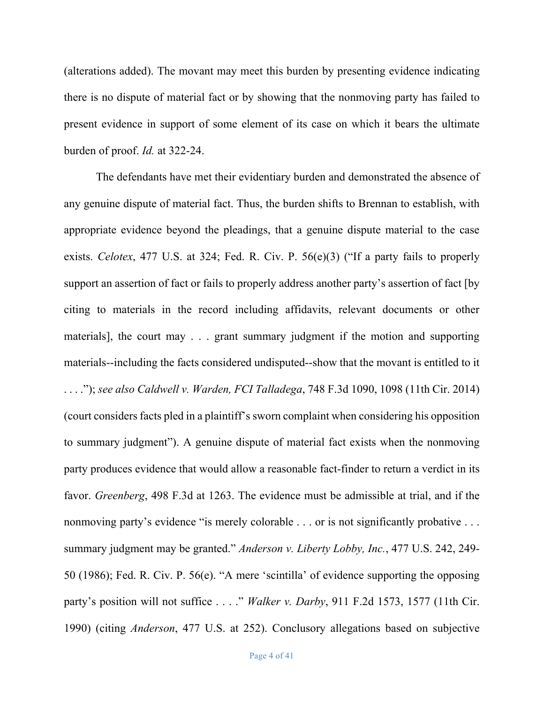(alterations added). The movant may meet this burden by presenting evidence indicating there is no dispute of material fact or by showing that the nonmoving party has failed to present evidence in support of some element of its case on which it bears the ultimate burden of proof. *Id.* at 322-24.

The defendants have met their evidentiary burden and demonstrated the absence of any genuine dispute of material fact. Thus, the burden shifts to Brennan to establish, with appropriate evidence beyond the pleadings, that a genuine dispute material to the case exists. *Celotex*, 477 U.S. at 324; Fed. R. Civ. P. 56(e)(3) ("If a party fails to properly support an assertion of fact or fails to properly address another party's assertion of fact [by citing to materials in the record including affidavits, relevant documents or other materials], the court may . . . grant summary judgment if the motion and supporting materials--including the facts considered undisputed--show that the movant is entitled to it . . . ."); *see also Caldwell v. Warden, FCI Talladega*, 748 F.3d 1090, 1098 (11th Cir. 2014) (court considers facts pled in a plaintiff's sworn complaint when considering his opposition to summary judgment"). A genuine dispute of material fact exists when the nonmoving party produces evidence that would allow a reasonable fact-finder to return a verdict in its favor. *Greenberg*, 498 F.3d at 1263. The evidence must be admissible at trial, and if the nonmoving party's evidence "is merely colorable . . . or is not significantly probative . . . summary judgment may be granted." *Anderson v. Liberty Lobby, Inc.*, 477 U.S. 242, 249- 50 (1986); Fed. R. Civ. P. 56(e). "A mere 'scintilla' of evidence supporting the opposing party's position will not suffice . . . ." *Walker v. Darby*, 911 F.2d 1573, 1577 (11th Cir. 1990) (citing *Anderson*, 477 U.S. at 252). Conclusory allegations based on subjective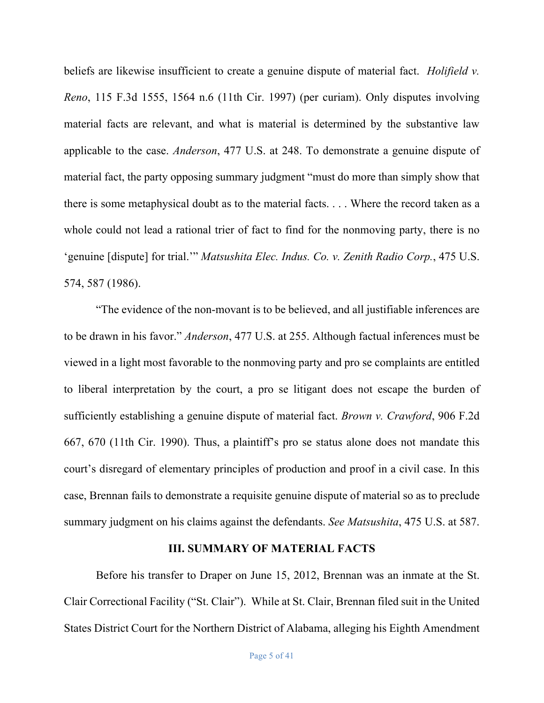beliefs are likewise insufficient to create a genuine dispute of material fact. *Holifield v. Reno*, 115 F.3d 1555, 1564 n.6 (11th Cir. 1997) (per curiam). Only disputes involving material facts are relevant, and what is material is determined by the substantive law applicable to the case. *Anderson*, 477 U.S. at 248. To demonstrate a genuine dispute of material fact, the party opposing summary judgment "must do more than simply show that there is some metaphysical doubt as to the material facts. . . . Where the record taken as a whole could not lead a rational trier of fact to find for the nonmoving party, there is no 'genuine [dispute] for trial.'" *Matsushita Elec. Indus. Co. v. Zenith Radio Corp.*, 475 U.S. 574, 587 (1986).

"The evidence of the non-movant is to be believed, and all justifiable inferences are to be drawn in his favor." *Anderson*, 477 U.S. at 255. Although factual inferences must be viewed in a light most favorable to the nonmoving party and pro se complaints are entitled to liberal interpretation by the court, a pro se litigant does not escape the burden of sufficiently establishing a genuine dispute of material fact. *Brown v. Crawford*, 906 F.2d 667, 670 (11th Cir. 1990). Thus, a plaintiff's pro se status alone does not mandate this court's disregard of elementary principles of production and proof in a civil case. In this case, Brennan fails to demonstrate a requisite genuine dispute of material so as to preclude summary judgment on his claims against the defendants. *See Matsushita*, 475 U.S. at 587.

## **III. SUMMARY OF MATERIAL FACTS**

Before his transfer to Draper on June 15, 2012, Brennan was an inmate at the St. Clair Correctional Facility ("St. Clair"). While at St. Clair, Brennan filed suit in the United States District Court for the Northern District of Alabama, alleging his Eighth Amendment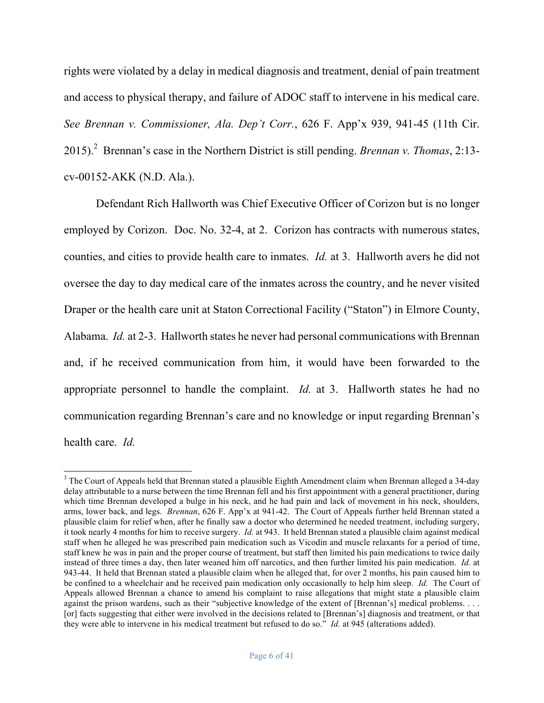rights were violated by a delay in medical diagnosis and treatment, denial of pain treatment and access to physical therapy, and failure of ADOC staff to intervene in his medical care. *See Brennan v. Commissioner, Ala. Dep't Corr.*, 626 F. App'x 939, 941-45 (11th Cir. 2015).<sup>2</sup> Brennan's case in the Northern District is still pending. *Brennan v. Thomas*, 2:13cv-00152-AKK (N.D. Ala.).

Defendant Rich Hallworth was Chief Executive Officer of Corizon but is no longer employed by Corizon. Doc. No. 32-4, at 2. Corizon has contracts with numerous states, counties, and cities to provide health care to inmates. *Id.* at 3. Hallworth avers he did not oversee the day to day medical care of the inmates across the country, and he never visited Draper or the health care unit at Staton Correctional Facility ("Staton") in Elmore County, Alabama. *Id.* at 2-3. Hallworth states he never had personal communications with Brennan and, if he received communication from him, it would have been forwarded to the appropriate personnel to handle the complaint. *Id.* at 3. Hallworth states he had no communication regarding Brennan's care and no knowledge or input regarding Brennan's health care. *Id.*

<sup>&</sup>lt;sup>3</sup> The Court of Appeals held that Brennan stated a plausible Eighth Amendment claim when Brennan alleged a 34-day delay attributable to a nurse between the time Brennan fell and his first appointment with a general practitioner, during which time Brennan developed a bulge in his neck, and he had pain and lack of movement in his neck, shoulders, arms, lower back, and legs. *Brennan*, 626 F. App'x at 941-42. The Court of Appeals further held Brennan stated a plausible claim for relief when, after he finally saw a doctor who determined he needed treatment, including surgery, it took nearly 4 months for him to receive surgery. *Id.* at 943. It held Brennan stated a plausible claim against medical staff when he alleged he was prescribed pain medication such as Vicodin and muscle relaxants for a period of time, staff knew he was in pain and the proper course of treatment, but staff then limited his pain medications to twice daily instead of three times a day, then later weaned him off narcotics, and then further limited his pain medication. *Id.* at 943-44. It held that Brennan stated a plausible claim when he alleged that, for over 2 months, his pain caused him to be confined to a wheelchair and he received pain medication only occasionally to help him sleep. *Id.* The Court of Appeals allowed Brennan a chance to amend his complaint to raise allegations that might state a plausible claim against the prison wardens, such as their "subjective knowledge of the extent of [Brennan's] medical problems. . . . [or] facts suggesting that either were involved in the decisions related to [Brennan's] diagnosis and treatment, or that they were able to intervene in his medical treatment but refused to do so." *Id.* at 945 (alterations added).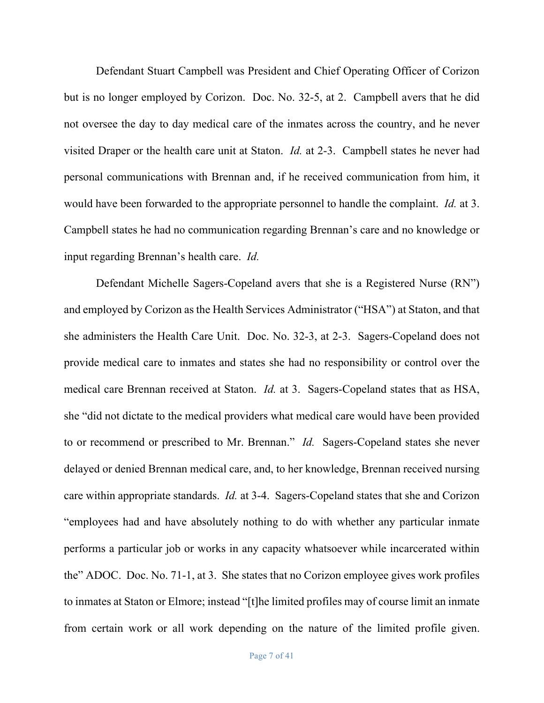Defendant Stuart Campbell was President and Chief Operating Officer of Corizon but is no longer employed by Corizon. Doc. No. 32-5, at 2. Campbell avers that he did not oversee the day to day medical care of the inmates across the country, and he never visited Draper or the health care unit at Staton. *Id.* at 2-3. Campbell states he never had personal communications with Brennan and, if he received communication from him, it would have been forwarded to the appropriate personnel to handle the complaint. *Id.* at 3. Campbell states he had no communication regarding Brennan's care and no knowledge or input regarding Brennan's health care. *Id.*

Defendant Michelle Sagers-Copeland avers that she is a Registered Nurse (RN") and employed by Corizon as the Health Services Administrator ("HSA") at Staton, and that she administers the Health Care Unit. Doc. No. 32-3, at 2-3. Sagers-Copeland does not provide medical care to inmates and states she had no responsibility or control over the medical care Brennan received at Staton. *Id.* at 3. Sagers-Copeland states that as HSA, she "did not dictate to the medical providers what medical care would have been provided to or recommend or prescribed to Mr. Brennan." *Id.* Sagers-Copeland states she never delayed or denied Brennan medical care, and, to her knowledge, Brennan received nursing care within appropriate standards. *Id.* at 3-4. Sagers-Copeland states that she and Corizon "employees had and have absolutely nothing to do with whether any particular inmate performs a particular job or works in any capacity whatsoever while incarcerated within the" ADOC. Doc. No. 71-1, at 3. She states that no Corizon employee gives work profiles to inmates at Staton or Elmore; instead "[t]he limited profiles may of course limit an inmate from certain work or all work depending on the nature of the limited profile given.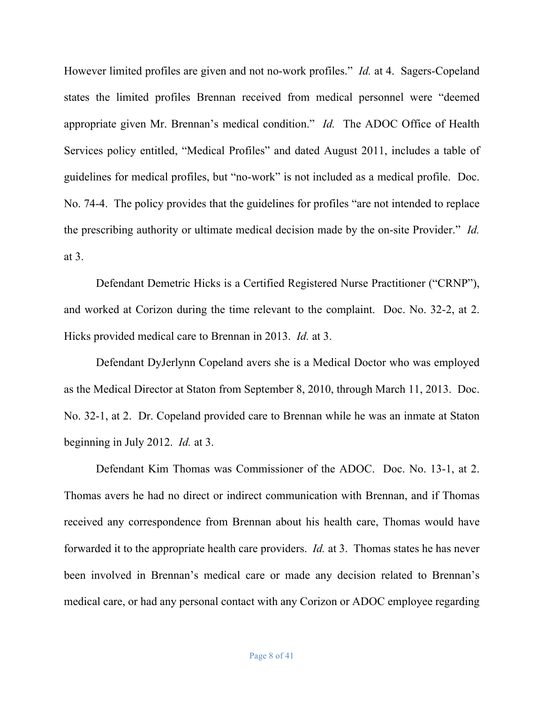However limited profiles are given and not no-work profiles." *Id.* at 4. Sagers-Copeland states the limited profiles Brennan received from medical personnel were "deemed appropriate given Mr. Brennan's medical condition." *Id.* The ADOC Office of Health Services policy entitled, "Medical Profiles" and dated August 2011, includes a table of guidelines for medical profiles, but "no-work" is not included as a medical profile. Doc. No. 74-4. The policy provides that the guidelines for profiles "are not intended to replace the prescribing authority or ultimate medical decision made by the on-site Provider." *Id.* at 3.

Defendant Demetric Hicks is a Certified Registered Nurse Practitioner ("CRNP"), and worked at Corizon during the time relevant to the complaint. Doc. No. 32-2, at 2. Hicks provided medical care to Brennan in 2013. *Id.* at 3.

Defendant DyJerlynn Copeland avers she is a Medical Doctor who was employed as the Medical Director at Staton from September 8, 2010, through March 11, 2013. Doc. No. 32-1, at 2. Dr. Copeland provided care to Brennan while he was an inmate at Staton beginning in July 2012. *Id.* at 3.

Defendant Kim Thomas was Commissioner of the ADOC. Doc. No. 13-1, at 2. Thomas avers he had no direct or indirect communication with Brennan, and if Thomas received any correspondence from Brennan about his health care, Thomas would have forwarded it to the appropriate health care providers. *Id.* at 3. Thomas states he has never been involved in Brennan's medical care or made any decision related to Brennan's medical care, or had any personal contact with any Corizon or ADOC employee regarding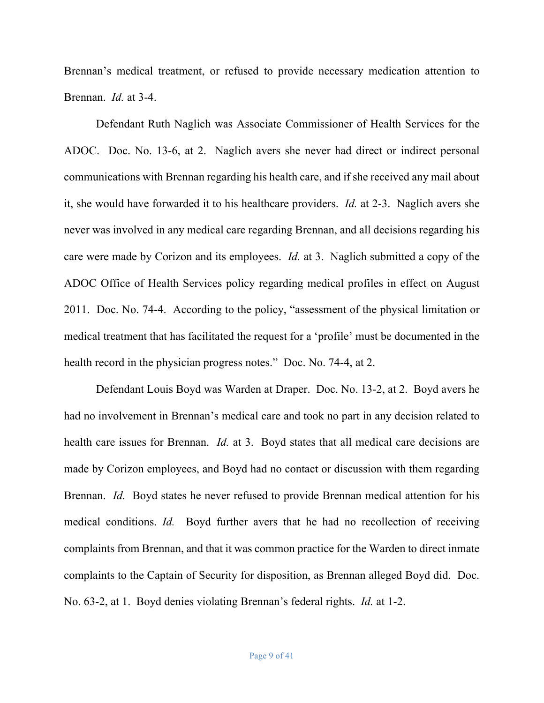Brennan's medical treatment, or refused to provide necessary medication attention to Brennan. *Id.* at 3-4.

Defendant Ruth Naglich was Associate Commissioner of Health Services for the ADOC. Doc. No. 13-6, at 2. Naglich avers she never had direct or indirect personal communications with Brennan regarding his health care, and if she received any mail about it, she would have forwarded it to his healthcare providers. *Id.* at 2-3. Naglich avers she never was involved in any medical care regarding Brennan, and all decisions regarding his care were made by Corizon and its employees. *Id.* at 3. Naglich submitted a copy of the ADOC Office of Health Services policy regarding medical profiles in effect on August 2011. Doc. No. 74-4. According to the policy, "assessment of the physical limitation or medical treatment that has facilitated the request for a 'profile' must be documented in the health record in the physician progress notes." Doc. No. 74-4, at 2.

Defendant Louis Boyd was Warden at Draper. Doc. No. 13-2, at 2. Boyd avers he had no involvement in Brennan's medical care and took no part in any decision related to health care issues for Brennan. *Id.* at 3. Boyd states that all medical care decisions are made by Corizon employees, and Boyd had no contact or discussion with them regarding Brennan. *Id.* Boyd states he never refused to provide Brennan medical attention for his medical conditions. *Id.* Boyd further avers that he had no recollection of receiving complaints from Brennan, and that it was common practice for the Warden to direct inmate complaints to the Captain of Security for disposition, as Brennan alleged Boyd did. Doc. No. 63-2, at 1. Boyd denies violating Brennan's federal rights. *Id.* at 1-2.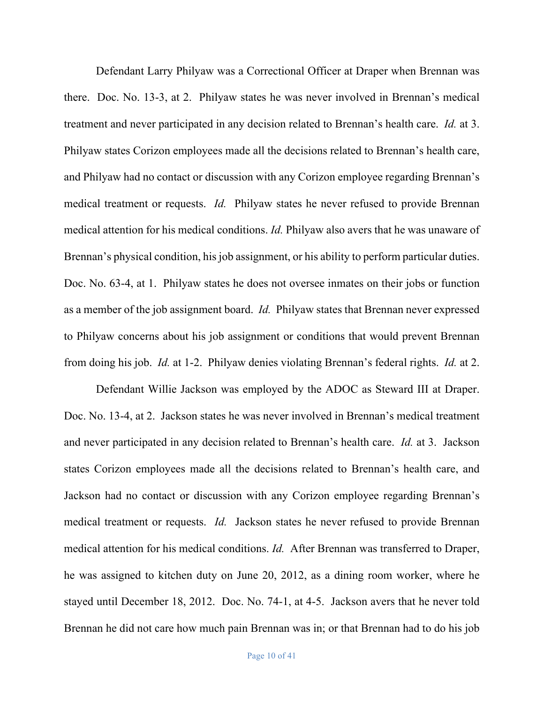Defendant Larry Philyaw was a Correctional Officer at Draper when Brennan was there. Doc. No. 13-3, at 2. Philyaw states he was never involved in Brennan's medical treatment and never participated in any decision related to Brennan's health care. *Id.* at 3. Philyaw states Corizon employees made all the decisions related to Brennan's health care, and Philyaw had no contact or discussion with any Corizon employee regarding Brennan's medical treatment or requests. *Id.* Philyaw states he never refused to provide Brennan medical attention for his medical conditions. *Id.* Philyaw also avers that he was unaware of Brennan's physical condition, his job assignment, or his ability to perform particular duties. Doc. No. 63-4, at 1. Philyaw states he does not oversee inmates on their jobs or function as a member of the job assignment board. *Id.* Philyaw states that Brennan never expressed to Philyaw concerns about his job assignment or conditions that would prevent Brennan from doing his job. *Id.* at 1-2. Philyaw denies violating Brennan's federal rights. *Id.* at 2.

Defendant Willie Jackson was employed by the ADOC as Steward III at Draper. Doc. No. 13-4, at 2. Jackson states he was never involved in Brennan's medical treatment and never participated in any decision related to Brennan's health care. *Id.* at 3. Jackson states Corizon employees made all the decisions related to Brennan's health care, and Jackson had no contact or discussion with any Corizon employee regarding Brennan's medical treatment or requests. *Id.* Jackson states he never refused to provide Brennan medical attention for his medical conditions. *Id.* After Brennan was transferred to Draper, he was assigned to kitchen duty on June 20, 2012, as a dining room worker, where he stayed until December 18, 2012. Doc. No. 74-1, at 4-5. Jackson avers that he never told Brennan he did not care how much pain Brennan was in; or that Brennan had to do his job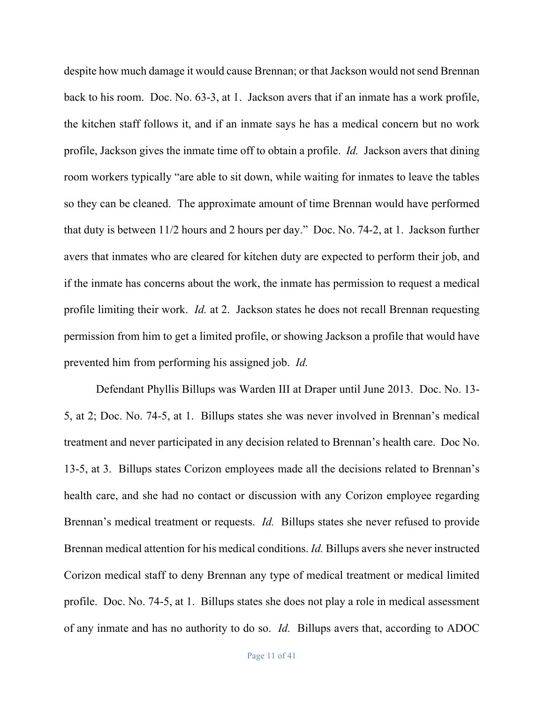despite how much damage it would cause Brennan; or that Jackson would not send Brennan back to his room. Doc. No. 63-3, at 1. Jackson avers that if an inmate has a work profile, the kitchen staff follows it, and if an inmate says he has a medical concern but no work profile, Jackson gives the inmate time off to obtain a profile. *Id.* Jackson avers that dining room workers typically "are able to sit down, while waiting for inmates to leave the tables so they can be cleaned. The approximate amount of time Brennan would have performed that duty is between 11/2 hours and 2 hours per day." Doc. No. 74-2, at 1. Jackson further avers that inmates who are cleared for kitchen duty are expected to perform their job, and if the inmate has concerns about the work, the inmate has permission to request a medical profile limiting their work. *Id.* at 2. Jackson states he does not recall Brennan requesting permission from him to get a limited profile, or showing Jackson a profile that would have prevented him from performing his assigned job. *Id.*

Defendant Phyllis Billups was Warden III at Draper until June 2013. Doc. No. 13- 5, at 2; Doc. No. 74-5, at 1. Billups states she was never involved in Brennan's medical treatment and never participated in any decision related to Brennan's health care. Doc No. 13-5, at 3. Billups states Corizon employees made all the decisions related to Brennan's health care, and she had no contact or discussion with any Corizon employee regarding Brennan's medical treatment or requests. *Id.* Billups states she never refused to provide Brennan medical attention for his medical conditions. *Id.* Billups avers she never instructed Corizon medical staff to deny Brennan any type of medical treatment or medical limited profile. Doc. No. 74-5, at 1. Billups states she does not play a role in medical assessment of any inmate and has no authority to do so. *Id.* Billups avers that, according to ADOC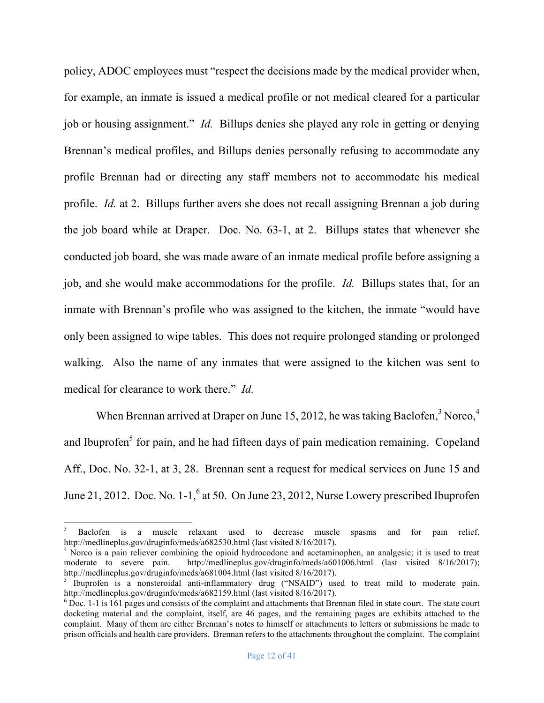policy, ADOC employees must "respect the decisions made by the medical provider when, for example, an inmate is issued a medical profile or not medical cleared for a particular job or housing assignment." *Id.* Billups denies she played any role in getting or denying Brennan's medical profiles, and Billups denies personally refusing to accommodate any profile Brennan had or directing any staff members not to accommodate his medical profile. *Id.* at 2. Billups further avers she does not recall assigning Brennan a job during the job board while at Draper. Doc. No. 63-1, at 2. Billups states that whenever she conducted job board, she was made aware of an inmate medical profile before assigning a job, and she would make accommodations for the profile. *Id.* Billups states that, for an inmate with Brennan's profile who was assigned to the kitchen, the inmate "would have only been assigned to wipe tables. This does not require prolonged standing or prolonged walking. Also the name of any inmates that were assigned to the kitchen was sent to medical for clearance to work there." *Id.*

When Brennan arrived at Draper on June 15, 2012, he was taking Baclofen, $3$  Norco, $4$ and Ibuprofen<sup>5</sup> for pain, and he had fifteen days of pain medication remaining. Copeland Aff., Doc. No. 32-1, at 3, 28. Brennan sent a request for medical services on June 15 and June 21, 2012. Doc. No.  $1-1$ ,  $6$  at 50. On June 23, 2012, Nurse Lowery prescribed Ibuprofen

 <sup>3</sup> Baclofen is a muscle relaxant used to decrease muscle spasms and for pain relief. http://medlineplus.gov/druginfo/meds/a682530.html (last visited 8/16/2017).<br><sup>4</sup> Norco is a pain reliever combining the opioid hydrocodone and acetaminophen, an analgesic; it is used to treat

moderate to severe pain. http://medlineplus.gov/druginfo/meds/a601006.html (last visited 8/16/2017); http://medlineplus.gov/druginfo/meds/a681004.html (last visited 8/16/2017).<br>
<sup>5</sup> Ibuprofen is a nonsteroidal anti-inflammatory drug ("NSAID") used to treat mild to moderate pain.

http://medlineplus.gov/druginfo/meds/a682159.html (last visited 8/16/2017).<br><sup>6</sup> Doc. 1-1 is 161 pages and consists of the complaint and attachments that Brennan filed in state court. The state court

docketing material and the complaint, itself, are 46 pages, and the remaining pages are exhibits attached to the complaint. Many of them are either Brennan's notes to himself or attachments to letters or submissions he made to prison officials and health care providers. Brennan refers to the attachments throughout the complaint. The complaint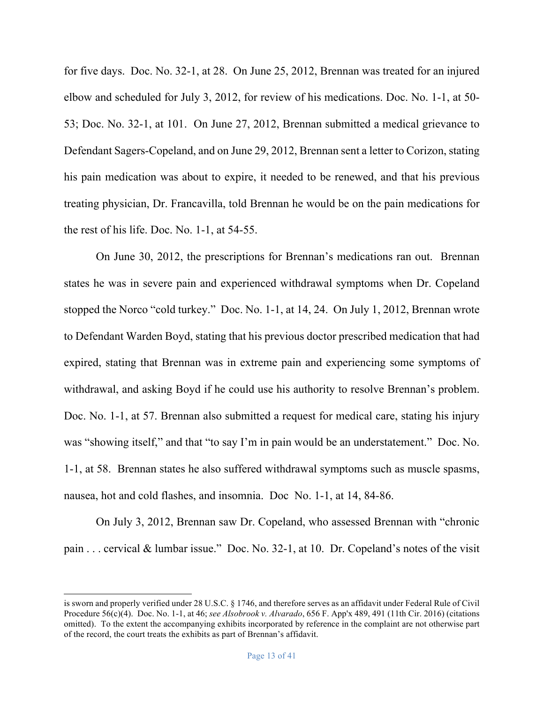for five days. Doc. No. 32-1, at 28. On June 25, 2012, Brennan was treated for an injured elbow and scheduled for July 3, 2012, for review of his medications. Doc. No. 1-1, at 50- 53; Doc. No. 32-1, at 101. On June 27, 2012, Brennan submitted a medical grievance to Defendant Sagers-Copeland, and on June 29, 2012, Brennan sent a letter to Corizon, stating his pain medication was about to expire, it needed to be renewed, and that his previous treating physician, Dr. Francavilla, told Brennan he would be on the pain medications for the rest of his life. Doc. No. 1-1, at 54-55.

On June 30, 2012, the prescriptions for Brennan's medications ran out. Brennan states he was in severe pain and experienced withdrawal symptoms when Dr. Copeland stopped the Norco "cold turkey." Doc. No. 1-1, at 14, 24. On July 1, 2012, Brennan wrote to Defendant Warden Boyd, stating that his previous doctor prescribed medication that had expired, stating that Brennan was in extreme pain and experiencing some symptoms of withdrawal, and asking Boyd if he could use his authority to resolve Brennan's problem. Doc. No. 1-1, at 57. Brennan also submitted a request for medical care, stating his injury was "showing itself," and that "to say I'm in pain would be an understatement." Doc. No. 1-1, at 58. Brennan states he also suffered withdrawal symptoms such as muscle spasms, nausea, hot and cold flashes, and insomnia. Doc No. 1-1, at 14, 84-86.

On July 3, 2012, Brennan saw Dr. Copeland, who assessed Brennan with "chronic pain . . . cervical & lumbar issue." Doc. No. 32-1, at 10. Dr. Copeland's notes of the visit

 $\overline{a}$ 

is sworn and properly verified under 28 U.S.C. § 1746, and therefore serves as an affidavit under Federal Rule of Civil Procedure 56(c)(4). Doc. No. 1-1, at 46; *see Alsobrook v. Alvarado*, 656 F. App'x 489, 491 (11th Cir. 2016) (citations omitted). To the extent the accompanying exhibits incorporated by reference in the complaint are not otherwise part of the record, the court treats the exhibits as part of Brennan's affidavit.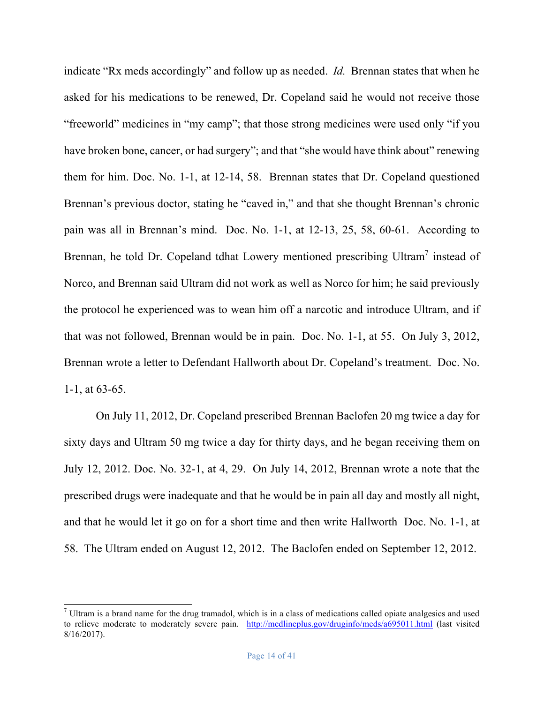indicate "Rx meds accordingly" and follow up as needed. *Id.* Brennan states that when he asked for his medications to be renewed, Dr. Copeland said he would not receive those "freeworld" medicines in "my camp"; that those strong medicines were used only "if you have broken bone, cancer, or had surgery"; and that "she would have think about" renewing them for him. Doc. No. 1-1, at 12-14, 58. Brennan states that Dr. Copeland questioned Brennan's previous doctor, stating he "caved in," and that she thought Brennan's chronic pain was all in Brennan's mind. Doc. No. 1-1, at 12-13, 25, 58, 60-61. According to Brennan, he told Dr. Copeland tdhat Lowery mentioned prescribing Ultram<sup>7</sup> instead of Norco, and Brennan said Ultram did not work as well as Norco for him; he said previously the protocol he experienced was to wean him off a narcotic and introduce Ultram, and if that was not followed, Brennan would be in pain. Doc. No. 1-1, at 55. On July 3, 2012, Brennan wrote a letter to Defendant Hallworth about Dr. Copeland's treatment. Doc. No. 1-1, at 63-65.

On July 11, 2012, Dr. Copeland prescribed Brennan Baclofen 20 mg twice a day for sixty days and Ultram 50 mg twice a day for thirty days, and he began receiving them on July 12, 2012. Doc. No. 32-1, at 4, 29. On July 14, 2012, Brennan wrote a note that the prescribed drugs were inadequate and that he would be in pain all day and mostly all night, and that he would let it go on for a short time and then write Hallworth Doc. No. 1-1, at 58. The Ultram ended on August 12, 2012. The Baclofen ended on September 12, 2012.

 $<sup>7</sup>$  Ultram is a brand name for the drug tramadol, which is in a class of medications called opiate analgesics and used</sup> to relieve moderate to moderately severe pain. http://medlineplus.gov/druginfo/meds/a695011.html (last visited 8/16/2017).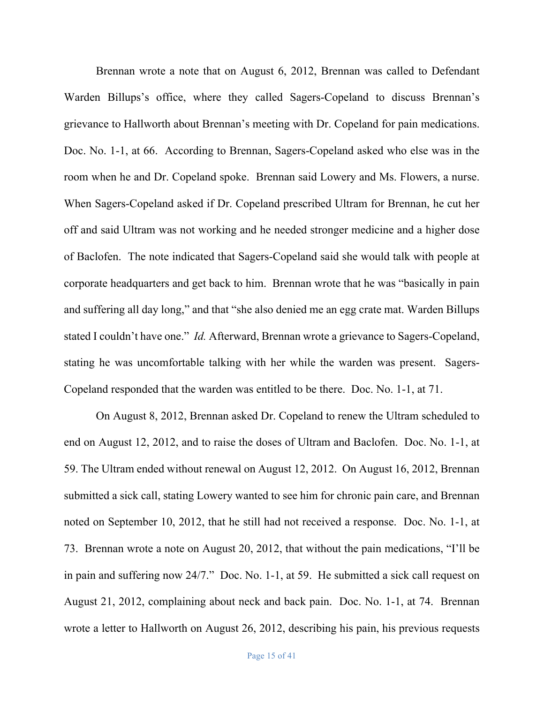Brennan wrote a note that on August 6, 2012, Brennan was called to Defendant Warden Billups's office, where they called Sagers-Copeland to discuss Brennan's grievance to Hallworth about Brennan's meeting with Dr. Copeland for pain medications. Doc. No. 1-1, at 66. According to Brennan, Sagers-Copeland asked who else was in the room when he and Dr. Copeland spoke. Brennan said Lowery and Ms. Flowers, a nurse. When Sagers-Copeland asked if Dr. Copeland prescribed Ultram for Brennan, he cut her off and said Ultram was not working and he needed stronger medicine and a higher dose of Baclofen. The note indicated that Sagers-Copeland said she would talk with people at corporate headquarters and get back to him. Brennan wrote that he was "basically in pain and suffering all day long," and that "she also denied me an egg crate mat. Warden Billups stated I couldn't have one." *Id.* Afterward, Brennan wrote a grievance to Sagers-Copeland, stating he was uncomfortable talking with her while the warden was present. Sagers-Copeland responded that the warden was entitled to be there. Doc. No. 1-1, at 71.

On August 8, 2012, Brennan asked Dr. Copeland to renew the Ultram scheduled to end on August 12, 2012, and to raise the doses of Ultram and Baclofen. Doc. No. 1-1, at 59. The Ultram ended without renewal on August 12, 2012. On August 16, 2012, Brennan submitted a sick call, stating Lowery wanted to see him for chronic pain care, and Brennan noted on September 10, 2012, that he still had not received a response. Doc. No. 1-1, at 73. Brennan wrote a note on August 20, 2012, that without the pain medications, "I'll be in pain and suffering now 24/7." Doc. No. 1-1, at 59. He submitted a sick call request on August 21, 2012, complaining about neck and back pain. Doc. No. 1-1, at 74. Brennan wrote a letter to Hallworth on August 26, 2012, describing his pain, his previous requests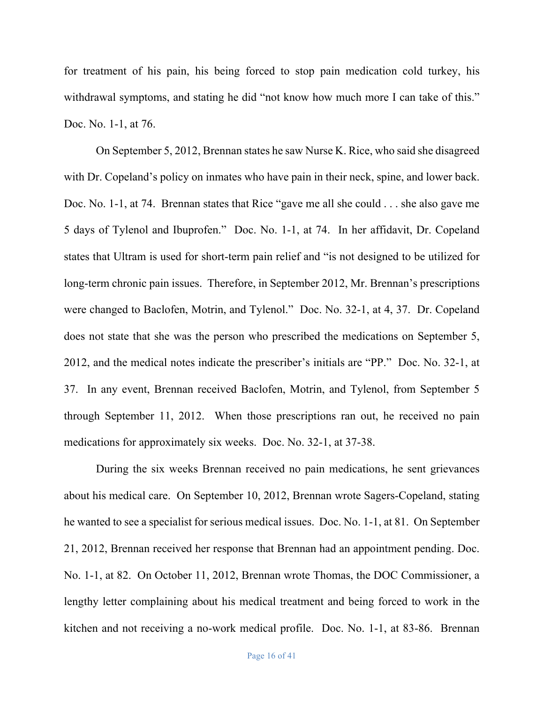for treatment of his pain, his being forced to stop pain medication cold turkey, his withdrawal symptoms, and stating he did "not know how much more I can take of this." Doc. No. 1-1, at 76.

On September 5, 2012, Brennan states he saw Nurse K. Rice, who said she disagreed with Dr. Copeland's policy on inmates who have pain in their neck, spine, and lower back. Doc. No. 1-1, at 74. Brennan states that Rice "gave me all she could . . . she also gave me 5 days of Tylenol and Ibuprofen." Doc. No. 1-1, at 74. In her affidavit, Dr. Copeland states that Ultram is used for short-term pain relief and "is not designed to be utilized for long-term chronic pain issues. Therefore, in September 2012, Mr. Brennan's prescriptions were changed to Baclofen, Motrin, and Tylenol." Doc. No. 32-1, at 4, 37. Dr. Copeland does not state that she was the person who prescribed the medications on September 5, 2012, and the medical notes indicate the prescriber's initials are "PP." Doc. No. 32-1, at 37. In any event, Brennan received Baclofen, Motrin, and Tylenol, from September 5 through September 11, 2012. When those prescriptions ran out, he received no pain medications for approximately six weeks. Doc. No. 32-1, at 37-38.

During the six weeks Brennan received no pain medications, he sent grievances about his medical care. On September 10, 2012, Brennan wrote Sagers-Copeland, stating he wanted to see a specialist for serious medical issues. Doc. No. 1-1, at 81. On September 21, 2012, Brennan received her response that Brennan had an appointment pending. Doc. No. 1-1, at 82. On October 11, 2012, Brennan wrote Thomas, the DOC Commissioner, a lengthy letter complaining about his medical treatment and being forced to work in the kitchen and not receiving a no-work medical profile. Doc. No. 1-1, at 83-86. Brennan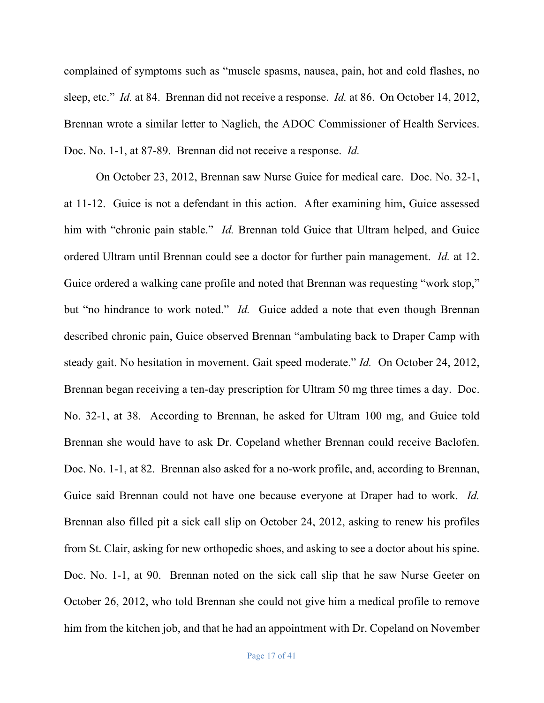complained of symptoms such as "muscle spasms, nausea, pain, hot and cold flashes, no sleep, etc." *Id.* at 84. Brennan did not receive a response. *Id.* at 86. On October 14, 2012, Brennan wrote a similar letter to Naglich, the ADOC Commissioner of Health Services. Doc. No. 1-1, at 87-89. Brennan did not receive a response. *Id.*

On October 23, 2012, Brennan saw Nurse Guice for medical care. Doc. No. 32-1, at 11-12. Guice is not a defendant in this action. After examining him, Guice assessed him with "chronic pain stable." *Id.* Brennan told Guice that Ultram helped, and Guice ordered Ultram until Brennan could see a doctor for further pain management. *Id.* at 12. Guice ordered a walking cane profile and noted that Brennan was requesting "work stop," but "no hindrance to work noted." *Id.* Guice added a note that even though Brennan described chronic pain, Guice observed Brennan "ambulating back to Draper Camp with steady gait. No hesitation in movement. Gait speed moderate." *Id.* On October 24, 2012, Brennan began receiving a ten-day prescription for Ultram 50 mg three times a day. Doc. No. 32-1, at 38. According to Brennan, he asked for Ultram 100 mg, and Guice told Brennan she would have to ask Dr. Copeland whether Brennan could receive Baclofen. Doc. No. 1-1, at 82. Brennan also asked for a no-work profile, and, according to Brennan, Guice said Brennan could not have one because everyone at Draper had to work. *Id.*  Brennan also filled pit a sick call slip on October 24, 2012, asking to renew his profiles from St. Clair, asking for new orthopedic shoes, and asking to see a doctor about his spine. Doc. No. 1-1, at 90. Brennan noted on the sick call slip that he saw Nurse Geeter on October 26, 2012, who told Brennan she could not give him a medical profile to remove him from the kitchen job, and that he had an appointment with Dr. Copeland on November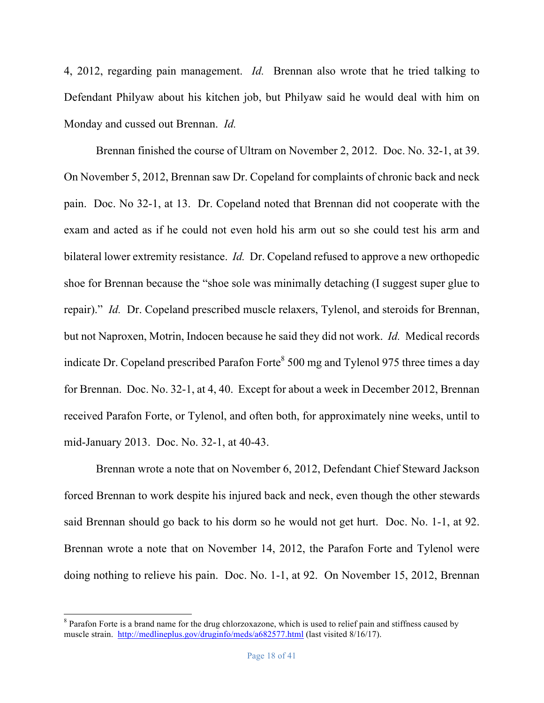4, 2012, regarding pain management. *Id.* Brennan also wrote that he tried talking to Defendant Philyaw about his kitchen job, but Philyaw said he would deal with him on Monday and cussed out Brennan. *Id.*

Brennan finished the course of Ultram on November 2, 2012. Doc. No. 32-1, at 39. On November 5, 2012, Brennan saw Dr. Copeland for complaints of chronic back and neck pain. Doc. No 32-1, at 13. Dr. Copeland noted that Brennan did not cooperate with the exam and acted as if he could not even hold his arm out so she could test his arm and bilateral lower extremity resistance. *Id.* Dr. Copeland refused to approve a new orthopedic shoe for Brennan because the "shoe sole was minimally detaching (I suggest super glue to repair)." *Id.* Dr. Copeland prescribed muscle relaxers, Tylenol, and steroids for Brennan, but not Naproxen, Motrin, Indocen because he said they did not work. *Id.* Medical records indicate Dr. Copeland prescribed Parafon Forte<sup>8</sup> 500 mg and Tylenol 975 three times a day for Brennan. Doc. No. 32-1, at 4, 40. Except for about a week in December 2012, Brennan received Parafon Forte, or Tylenol, and often both, for approximately nine weeks, until to mid-January 2013. Doc. No. 32-1, at 40-43.

Brennan wrote a note that on November 6, 2012, Defendant Chief Steward Jackson forced Brennan to work despite his injured back and neck, even though the other stewards said Brennan should go back to his dorm so he would not get hurt. Doc. No. 1-1, at 92. Brennan wrote a note that on November 14, 2012, the Parafon Forte and Tylenol were doing nothing to relieve his pain. Doc. No. 1-1, at 92. On November 15, 2012, Brennan

<sup>&</sup>lt;sup>8</sup> Parafon Forte is a brand name for the drug chlorzoxazone, which is used to relief pain and stiffness caused by muscle strain. http://medlineplus.gov/druginfo/meds/a682577.html (last visited 8/16/17).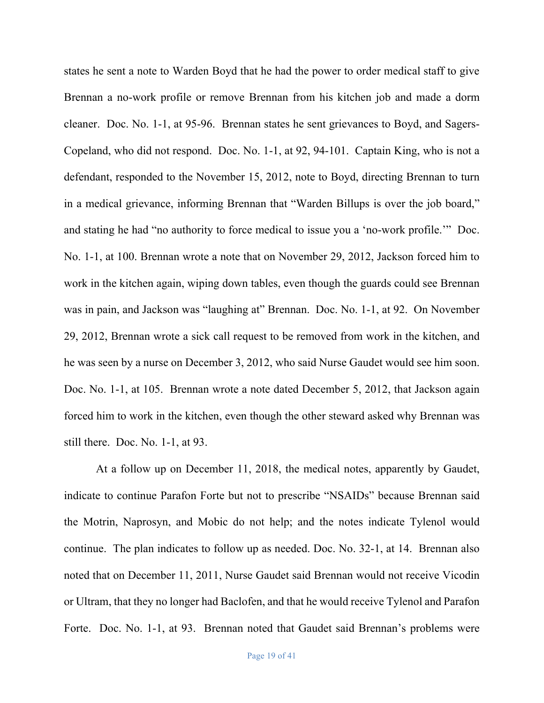states he sent a note to Warden Boyd that he had the power to order medical staff to give Brennan a no-work profile or remove Brennan from his kitchen job and made a dorm cleaner. Doc. No. 1-1, at 95-96. Brennan states he sent grievances to Boyd, and Sagers-Copeland, who did not respond. Doc. No. 1-1, at 92, 94-101. Captain King, who is not a defendant, responded to the November 15, 2012, note to Boyd, directing Brennan to turn in a medical grievance, informing Brennan that "Warden Billups is over the job board," and stating he had "no authority to force medical to issue you a 'no-work profile.'" Doc. No. 1-1, at 100. Brennan wrote a note that on November 29, 2012, Jackson forced him to work in the kitchen again, wiping down tables, even though the guards could see Brennan was in pain, and Jackson was "laughing at" Brennan. Doc. No. 1-1, at 92. On November 29, 2012, Brennan wrote a sick call request to be removed from work in the kitchen, and he was seen by a nurse on December 3, 2012, who said Nurse Gaudet would see him soon. Doc. No. 1-1, at 105. Brennan wrote a note dated December 5, 2012, that Jackson again forced him to work in the kitchen, even though the other steward asked why Brennan was still there. Doc. No. 1-1, at 93.

At a follow up on December 11, 2018, the medical notes, apparently by Gaudet, indicate to continue Parafon Forte but not to prescribe "NSAIDs" because Brennan said the Motrin, Naprosyn, and Mobic do not help; and the notes indicate Tylenol would continue. The plan indicates to follow up as needed. Doc. No. 32-1, at 14. Brennan also noted that on December 11, 2011, Nurse Gaudet said Brennan would not receive Vicodin or Ultram, that they no longer had Baclofen, and that he would receive Tylenol and Parafon Forte. Doc. No. 1-1, at 93. Brennan noted that Gaudet said Brennan's problems were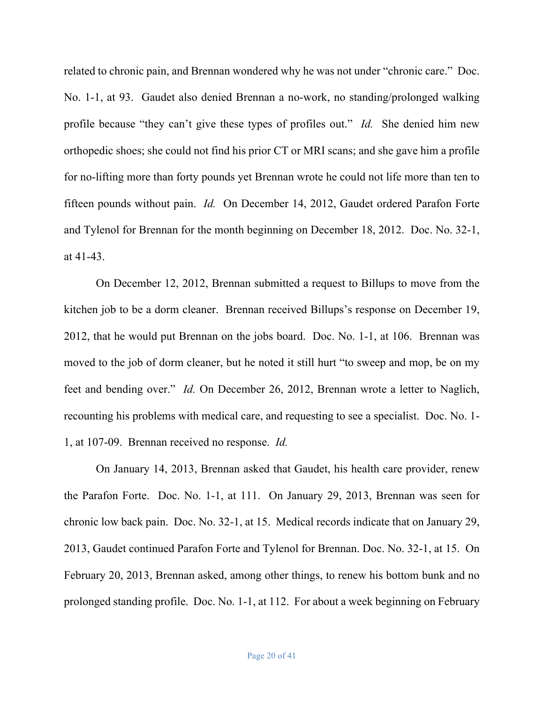related to chronic pain, and Brennan wondered why he was not under "chronic care." Doc. No. 1-1, at 93. Gaudet also denied Brennan a no-work, no standing/prolonged walking profile because "they can't give these types of profiles out." *Id.* She denied him new orthopedic shoes; she could not find his prior CT or MRI scans; and she gave him a profile for no-lifting more than forty pounds yet Brennan wrote he could not life more than ten to fifteen pounds without pain. *Id.* On December 14, 2012, Gaudet ordered Parafon Forte and Tylenol for Brennan for the month beginning on December 18, 2012. Doc. No. 32-1, at 41-43.

On December 12, 2012, Brennan submitted a request to Billups to move from the kitchen job to be a dorm cleaner. Brennan received Billups's response on December 19, 2012, that he would put Brennan on the jobs board. Doc. No. 1-1, at 106. Brennan was moved to the job of dorm cleaner, but he noted it still hurt "to sweep and mop, be on my feet and bending over." *Id.* On December 26, 2012, Brennan wrote a letter to Naglich, recounting his problems with medical care, and requesting to see a specialist. Doc. No. 1- 1, at 107-09. Brennan received no response. *Id.*

On January 14, 2013, Brennan asked that Gaudet, his health care provider, renew the Parafon Forte. Doc. No. 1-1, at 111. On January 29, 2013, Brennan was seen for chronic low back pain. Doc. No. 32-1, at 15. Medical records indicate that on January 29, 2013, Gaudet continued Parafon Forte and Tylenol for Brennan. Doc. No. 32-1, at 15. On February 20, 2013, Brennan asked, among other things, to renew his bottom bunk and no prolonged standing profile. Doc. No. 1-1, at 112. For about a week beginning on February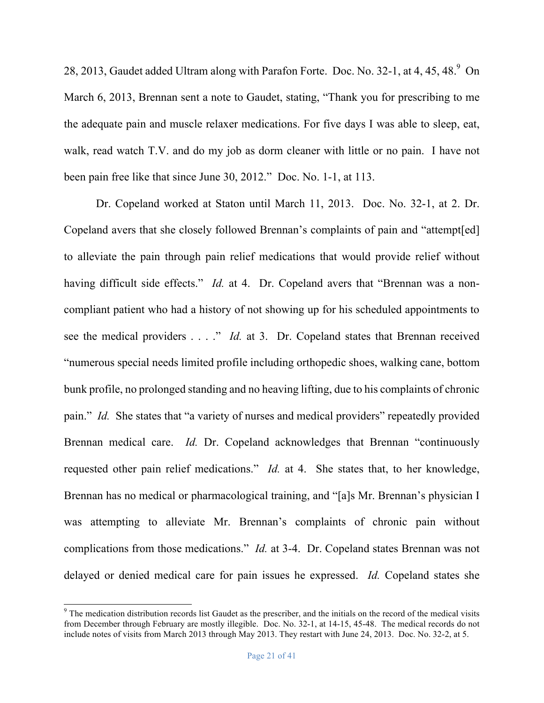28, 2013, Gaudet added Ultram along with Parafon Forte. Doc. No. 32-1, at 4, 45, 48. $9$  On March 6, 2013, Brennan sent a note to Gaudet, stating, "Thank you for prescribing to me the adequate pain and muscle relaxer medications. For five days I was able to sleep, eat, walk, read watch T.V. and do my job as dorm cleaner with little or no pain. I have not been pain free like that since June 30, 2012." Doc. No. 1-1, at 113.

Dr. Copeland worked at Staton until March 11, 2013. Doc. No. 32-1, at 2. Dr. Copeland avers that she closely followed Brennan's complaints of pain and "attempt[ed] to alleviate the pain through pain relief medications that would provide relief without having difficult side effects." *Id.* at 4. Dr. Copeland avers that "Brennan was a noncompliant patient who had a history of not showing up for his scheduled appointments to see the medical providers . . . ." *Id.* at 3. Dr. Copeland states that Brennan received "numerous special needs limited profile including orthopedic shoes, walking cane, bottom bunk profile, no prolonged standing and no heaving lifting, due to his complaints of chronic pain." *Id.* She states that "a variety of nurses and medical providers" repeatedly provided Brennan medical care. *Id.* Dr. Copeland acknowledges that Brennan "continuously requested other pain relief medications." *Id.* at 4. She states that, to her knowledge, Brennan has no medical or pharmacological training, and "[a]s Mr. Brennan's physician I was attempting to alleviate Mr. Brennan's complaints of chronic pain without complications from those medications." *Id.* at 3-4. Dr. Copeland states Brennan was not delayed or denied medical care for pain issues he expressed. *Id.* Copeland states she

<sup>&</sup>lt;sup>9</sup> The medication distribution records list Gaudet as the prescriber, and the initials on the record of the medical visits from December through February are mostly illegible. Doc. No. 32-1, at 14-15, 45-48. The medical records do not include notes of visits from March 2013 through May 2013. They restart with June 24, 2013. Doc. No. 32-2, at 5.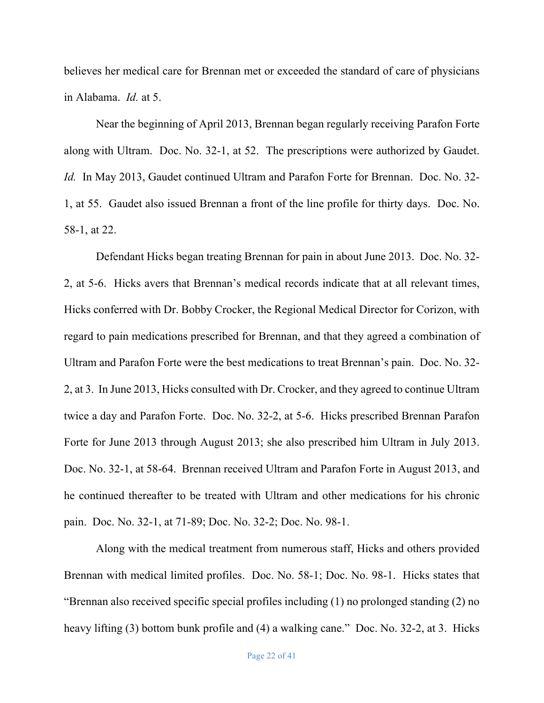believes her medical care for Brennan met or exceeded the standard of care of physicians in Alabama. *Id.* at 5.

Near the beginning of April 2013, Brennan began regularly receiving Parafon Forte along with Ultram. Doc. No. 32-1, at 52. The prescriptions were authorized by Gaudet. *Id.* In May 2013, Gaudet continued Ultram and Parafon Forte for Brennan. Doc. No. 32- 1, at 55. Gaudet also issued Brennan a front of the line profile for thirty days. Doc. No. 58-1, at 22.

Defendant Hicks began treating Brennan for pain in about June 2013. Doc. No. 32- 2, at 5-6. Hicks avers that Brennan's medical records indicate that at all relevant times, Hicks conferred with Dr. Bobby Crocker, the Regional Medical Director for Corizon, with regard to pain medications prescribed for Brennan, and that they agreed a combination of Ultram and Parafon Forte were the best medications to treat Brennan's pain. Doc. No. 32- 2, at 3. In June 2013, Hicks consulted with Dr. Crocker, and they agreed to continue Ultram twice a day and Parafon Forte. Doc. No. 32-2, at 5-6. Hicks prescribed Brennan Parafon Forte for June 2013 through August 2013; she also prescribed him Ultram in July 2013. Doc. No. 32-1, at 58-64. Brennan received Ultram and Parafon Forte in August 2013, and he continued thereafter to be treated with Ultram and other medications for his chronic pain. Doc. No. 32-1, at 71-89; Doc. No. 32-2; Doc. No. 98-1.

Along with the medical treatment from numerous staff, Hicks and others provided Brennan with medical limited profiles. Doc. No. 58-1; Doc. No. 98-1. Hicks states that "Brennan also received specific special profiles including (1) no prolonged standing (2) no heavy lifting (3) bottom bunk profile and (4) a walking cane." Doc. No. 32-2, at 3. Hicks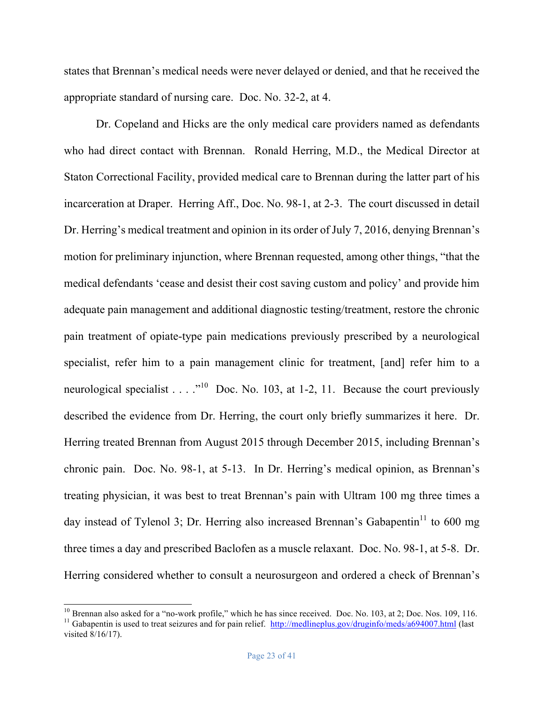states that Brennan's medical needs were never delayed or denied, and that he received the appropriate standard of nursing care. Doc. No. 32-2, at 4.

 Dr. Copeland and Hicks are the only medical care providers named as defendants who had direct contact with Brennan. Ronald Herring, M.D., the Medical Director at Staton Correctional Facility, provided medical care to Brennan during the latter part of his incarceration at Draper. Herring Aff., Doc. No. 98-1, at 2-3. The court discussed in detail Dr. Herring's medical treatment and opinion in its order of July 7, 2016, denying Brennan's motion for preliminary injunction, where Brennan requested, among other things, "that the medical defendants 'cease and desist their cost saving custom and policy' and provide him adequate pain management and additional diagnostic testing/treatment, restore the chronic pain treatment of opiate-type pain medications previously prescribed by a neurological specialist, refer him to a pain management clinic for treatment, [and] refer him to a neurological specialist  $\ldots$  ."<sup>10</sup> Doc. No. 103, at 1-2, 11. Because the court previously described the evidence from Dr. Herring, the court only briefly summarizes it here. Dr. Herring treated Brennan from August 2015 through December 2015, including Brennan's chronic pain. Doc. No. 98-1, at 5-13. In Dr. Herring's medical opinion, as Brennan's treating physician, it was best to treat Brennan's pain with Ultram 100 mg three times a day instead of Tylenol 3; Dr. Herring also increased Brennan's Gabapentin<sup>11</sup> to 600 mg three times a day and prescribed Baclofen as a muscle relaxant. Doc. No. 98-1, at 5-8. Dr. Herring considered whether to consult a neurosurgeon and ordered a check of Brennan's

<sup>&</sup>lt;sup>10</sup> Brennan also asked for a "no-work profile," which he has since received. Doc. No. 103, at 2; Doc. Nos. 109, 116.<br><sup>11</sup> Gabapentin is used to treat seizures and for pain relief. http://medlineplus.gov/druginfo/meds/a69

visited 8/16/17).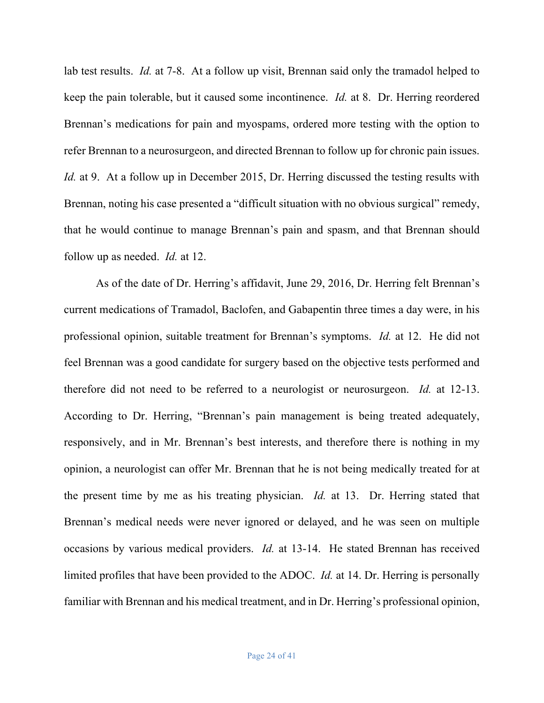lab test results. *Id.* at 7-8. At a follow up visit, Brennan said only the tramadol helped to keep the pain tolerable, but it caused some incontinence. *Id.* at 8.Dr. Herring reordered Brennan's medications for pain and myospams, ordered more testing with the option to refer Brennan to a neurosurgeon, and directed Brennan to follow up for chronic pain issues. *Id.* at 9. At a follow up in December 2015, Dr. Herring discussed the testing results with Brennan, noting his case presented a "difficult situation with no obvious surgical" remedy, that he would continue to manage Brennan's pain and spasm, and that Brennan should follow up as needed. *Id.* at 12.

As of the date of Dr. Herring's affidavit, June 29, 2016, Dr. Herring felt Brennan's current medications of Tramadol, Baclofen, and Gabapentin three times a day were, in his professional opinion, suitable treatment for Brennan's symptoms. *Id.* at 12. He did not feel Brennan was a good candidate for surgery based on the objective tests performed and therefore did not need to be referred to a neurologist or neurosurgeon. *Id.* at 12-13. According to Dr. Herring, "Brennan's pain management is being treated adequately, responsively, and in Mr. Brennan's best interests, and therefore there is nothing in my opinion, a neurologist can offer Mr. Brennan that he is not being medically treated for at the present time by me as his treating physician. *Id.* at 13. Dr. Herring stated that Brennan's medical needs were never ignored or delayed, and he was seen on multiple occasions by various medical providers. *Id.* at 13-14. He stated Brennan has received limited profiles that have been provided to the ADOC. *Id.* at 14. Dr. Herring is personally familiar with Brennan and his medical treatment, and in Dr. Herring's professional opinion,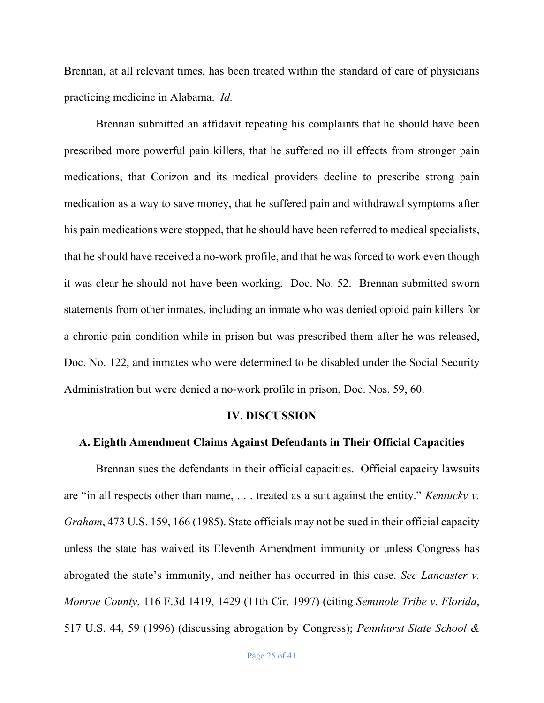Brennan, at all relevant times, has been treated within the standard of care of physicians practicing medicine in Alabama. *Id.*

Brennan submitted an affidavit repeating his complaints that he should have been prescribed more powerful pain killers, that he suffered no ill effects from stronger pain medications, that Corizon and its medical providers decline to prescribe strong pain medication as a way to save money, that he suffered pain and withdrawal symptoms after his pain medications were stopped, that he should have been referred to medical specialists, that he should have received a no-work profile, and that he was forced to work even though it was clear he should not have been working. Doc. No. 52. Brennan submitted sworn statements from other inmates, including an inmate who was denied opioid pain killers for a chronic pain condition while in prison but was prescribed them after he was released, Doc. No. 122, and inmates who were determined to be disabled under the Social Security Administration but were denied a no-work profile in prison, Doc. Nos. 59, 60.

#### **IV. DISCUSSION**

### **A. Eighth Amendment Claims Against Defendants in Their Official Capacities**

Brennan sues the defendants in their official capacities. Official capacity lawsuits are "in all respects other than name, . . . treated as a suit against the entity." *Kentucky v. Graham*, 473 U.S. 159, 166 (1985). State officials may not be sued in their official capacity unless the state has waived its Eleventh Amendment immunity or unless Congress has abrogated the state's immunity, and neither has occurred in this case. *See Lancaster v. Monroe County*, 116 F.3d 1419, 1429 (11th Cir. 1997) (citing *Seminole Tribe v. Florida*, 517 U.S. 44, 59 (1996) (discussing abrogation by Congress); *Pennhurst State School &*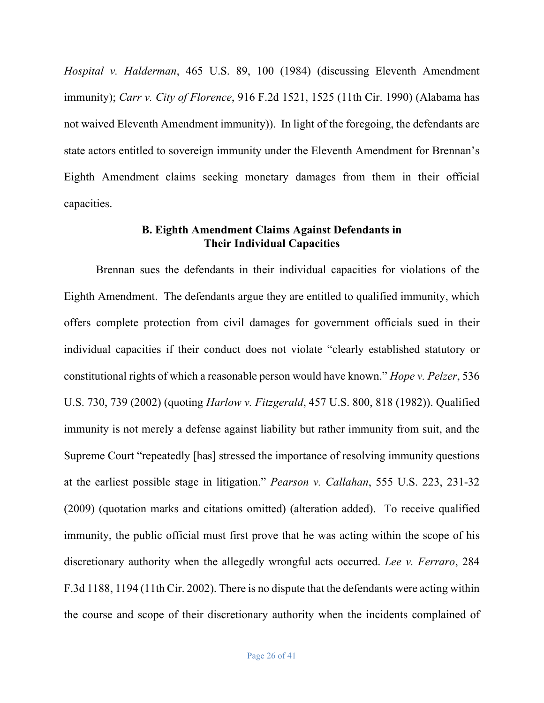*Hospital v. Halderman*, 465 U.S. 89, 100 (1984) (discussing Eleventh Amendment immunity); *Carr v. City of Florence*, 916 F.2d 1521, 1525 (11th Cir. 1990) (Alabama has not waived Eleventh Amendment immunity)). In light of the foregoing, the defendants are state actors entitled to sovereign immunity under the Eleventh Amendment for Brennan's Eighth Amendment claims seeking monetary damages from them in their official capacities.

# **B. Eighth Amendment Claims Against Defendants in Their Individual Capacities**

Brennan sues the defendants in their individual capacities for violations of the Eighth Amendment. The defendants argue they are entitled to qualified immunity, which offers complete protection from civil damages for government officials sued in their individual capacities if their conduct does not violate "clearly established statutory or constitutional rights of which a reasonable person would have known." *Hope v. Pelzer*, 536 U.S. 730, 739 (2002) (quoting *Harlow v. Fitzgerald*, 457 U.S. 800, 818 (1982)). Qualified immunity is not merely a defense against liability but rather immunity from suit, and the Supreme Court "repeatedly [has] stressed the importance of resolving immunity questions at the earliest possible stage in litigation." *Pearson v. Callahan*, 555 U.S. 223, 231-32 (2009) (quotation marks and citations omitted) (alteration added). To receive qualified immunity, the public official must first prove that he was acting within the scope of his discretionary authority when the allegedly wrongful acts occurred. *Lee v. Ferraro*, 284 F.3d 1188, 1194 (11th Cir. 2002). There is no dispute that the defendants were acting within the course and scope of their discretionary authority when the incidents complained of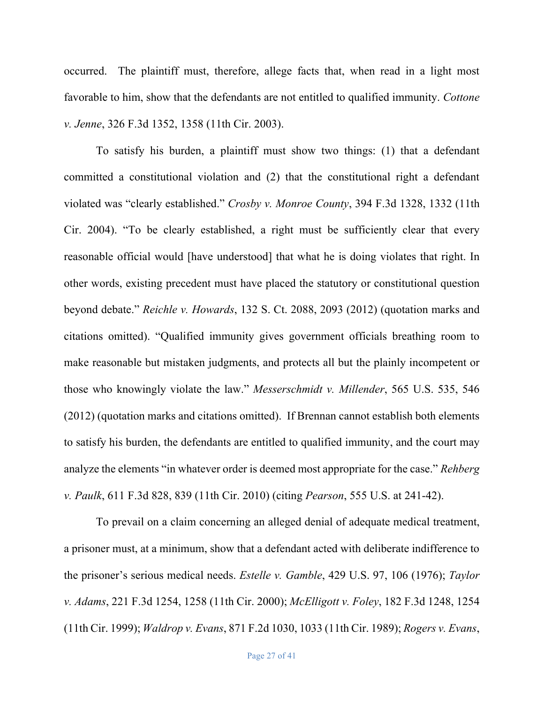occurred. The plaintiff must, therefore, allege facts that, when read in a light most favorable to him, show that the defendants are not entitled to qualified immunity. *Cottone v. Jenne*, 326 F.3d 1352, 1358 (11th Cir. 2003).

To satisfy his burden, a plaintiff must show two things: (1) that a defendant committed a constitutional violation and (2) that the constitutional right a defendant violated was "clearly established." *Crosby v. Monroe County*, 394 F.3d 1328, 1332 (11th Cir. 2004). "To be clearly established, a right must be sufficiently clear that every reasonable official would [have understood] that what he is doing violates that right. In other words, existing precedent must have placed the statutory or constitutional question beyond debate." *Reichle v. Howards*, 132 S. Ct. 2088, 2093 (2012) (quotation marks and citations omitted). "Qualified immunity gives government officials breathing room to make reasonable but mistaken judgments, and protects all but the plainly incompetent or those who knowingly violate the law." *Messerschmidt v. Millender*, 565 U.S. 535, 546 (2012) (quotation marks and citations omitted). If Brennan cannot establish both elements to satisfy his burden, the defendants are entitled to qualified immunity, and the court may analyze the elements "in whatever order is deemed most appropriate for the case." *Rehberg v. Paulk*, 611 F.3d 828, 839 (11th Cir. 2010) (citing *Pearson*, 555 U.S. at 241-42).

To prevail on a claim concerning an alleged denial of adequate medical treatment, a prisoner must, at a minimum, show that a defendant acted with deliberate indifference to the prisoner's serious medical needs. *Estelle v. Gamble*, 429 U.S. 97, 106 (1976); *Taylor v. Adams*, 221 F.3d 1254, 1258 (11th Cir. 2000); *McElligott v. Foley*, 182 F.3d 1248, 1254 (11th Cir. 1999); *Waldrop v. Evans*, 871 F.2d 1030, 1033 (11th Cir. 1989); *Rogers v. Evans*,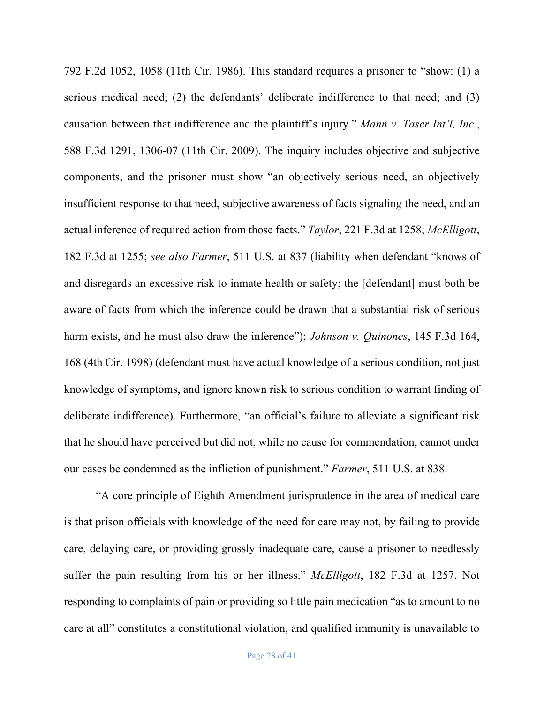792 F.2d 1052, 1058 (11th Cir. 1986). This standard requires a prisoner to "show: (1) a serious medical need; (2) the defendants' deliberate indifference to that need; and (3) causation between that indifference and the plaintiff's injury." *Mann v. Taser Int'l, Inc.*, 588 F.3d 1291, 1306-07 (11th Cir. 2009). The inquiry includes objective and subjective components, and the prisoner must show "an objectively serious need, an objectively insufficient response to that need, subjective awareness of facts signaling the need, and an actual inference of required action from those facts." *Taylor*, 221 F.3d at 1258; *McElligott*, 182 F.3d at 1255; *see also Farmer*, 511 U.S. at 837 (liability when defendant "knows of and disregards an excessive risk to inmate health or safety; the [defendant] must both be aware of facts from which the inference could be drawn that a substantial risk of serious harm exists, and he must also draw the inference"); *Johnson v. Quinones*, 145 F.3d 164, 168 (4th Cir. 1998) (defendant must have actual knowledge of a serious condition, not just knowledge of symptoms, and ignore known risk to serious condition to warrant finding of deliberate indifference). Furthermore, "an official's failure to alleviate a significant risk that he should have perceived but did not, while no cause for commendation, cannot under our cases be condemned as the infliction of punishment." *Farmer*, 511 U.S. at 838.

"A core principle of Eighth Amendment jurisprudence in the area of medical care is that prison officials with knowledge of the need for care may not, by failing to provide care, delaying care, or providing grossly inadequate care, cause a prisoner to needlessly suffer the pain resulting from his or her illness." *McElligott*, 182 F.3d at 1257. Not responding to complaints of pain or providing so little pain medication "as to amount to no care at all" constitutes a constitutional violation, and qualified immunity is unavailable to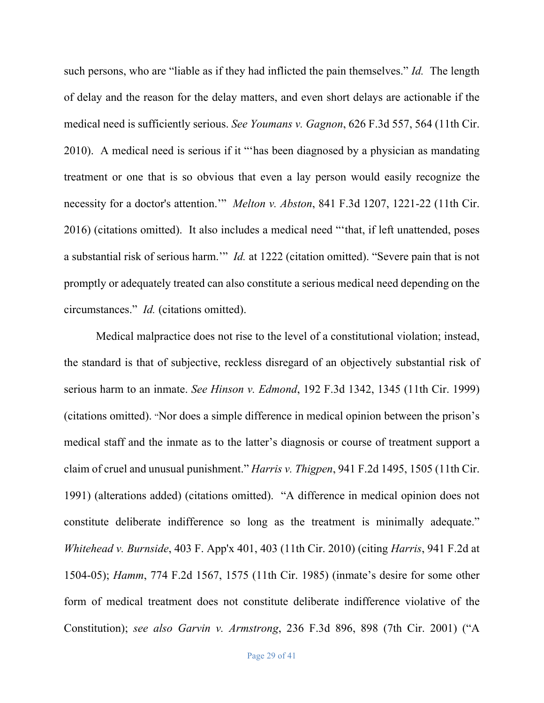such persons, who are "liable as if they had inflicted the pain themselves." *Id.* The length of delay and the reason for the delay matters, and even short delays are actionable if the medical need is sufficiently serious. *See Youmans v. Gagnon*, 626 F.3d 557, 564 (11th Cir. 2010). A medical need is serious if it "'has been diagnosed by a physician as mandating treatment or one that is so obvious that even a lay person would easily recognize the necessity for a doctor's attention.'" *Melton v. Abston*, 841 F.3d 1207, 1221-22 (11th Cir. 2016) (citations omitted). It also includes a medical need "'that, if left unattended, poses a substantial risk of serious harm.'" *Id.* at 1222 (citation omitted). "Severe pain that is not promptly or adequately treated can also constitute a serious medical need depending on the circumstances." *Id.* (citations omitted).

Medical malpractice does not rise to the level of a constitutional violation; instead, the standard is that of subjective, reckless disregard of an objectively substantial risk of serious harm to an inmate. *See Hinson v. Edmond*, 192 F.3d 1342, 1345 (11th Cir. 1999) (citations omitted). "Nor does a simple difference in medical opinion between the prison's medical staff and the inmate as to the latter's diagnosis or course of treatment support a claim of cruel and unusual punishment." *Harris v. Thigpen*, 941 F.2d 1495, 1505 (11th Cir. 1991) (alterations added) (citations omitted). "A difference in medical opinion does not constitute deliberate indifference so long as the treatment is minimally adequate." *Whitehead v. Burnside*, 403 F. App'x 401, 403 (11th Cir. 2010) (citing *Harris*, 941 F.2d at 1504-05); *Hamm*, 774 F.2d 1567, 1575 (11th Cir. 1985) (inmate's desire for some other form of medical treatment does not constitute deliberate indifference violative of the Constitution); *see also Garvin v. Armstrong*, 236 F.3d 896, 898 (7th Cir. 2001) ("A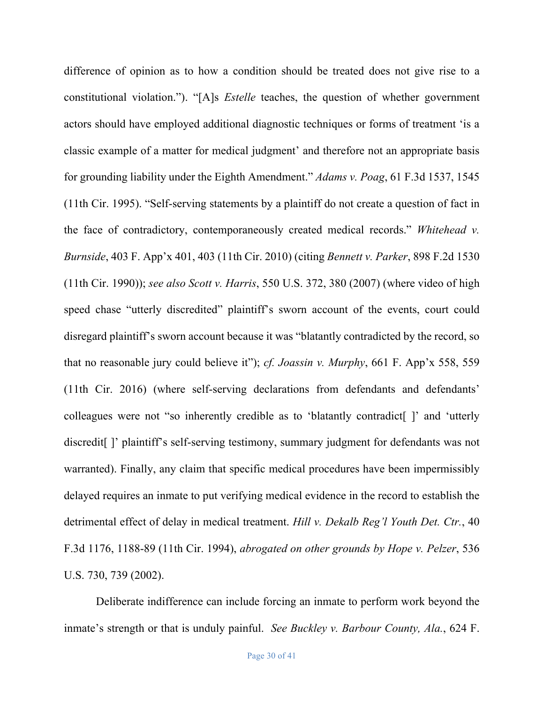difference of opinion as to how a condition should be treated does not give rise to a constitutional violation."). "[A]s *Estelle* teaches, the question of whether government actors should have employed additional diagnostic techniques or forms of treatment 'is a classic example of a matter for medical judgment' and therefore not an appropriate basis for grounding liability under the Eighth Amendment." *Adams v. Poag*, 61 F.3d 1537, 1545 (11th Cir. 1995). "Self-serving statements by a plaintiff do not create a question of fact in the face of contradictory, contemporaneously created medical records." *Whitehead v. Burnside*, 403 F. App'x 401, 403 (11th Cir. 2010) (citing *Bennett v. Parker*, 898 F.2d 1530 (11th Cir. 1990)); *see also Scott v. Harris*, 550 U.S. 372, 380 (2007) (where video of high speed chase "utterly discredited" plaintiff's sworn account of the events, court could disregard plaintiff's sworn account because it was "blatantly contradicted by the record, so that no reasonable jury could believe it"); *cf. Joassin v. Murphy*, 661 F. App'x 558, 559 (11th Cir. 2016) (where self-serving declarations from defendants and defendants' colleagues were not "so inherently credible as to 'blatantly contradict[ ]' and 'utterly discredit[ ]' plaintiff's self-serving testimony, summary judgment for defendants was not warranted). Finally, any claim that specific medical procedures have been impermissibly delayed requires an inmate to put verifying medical evidence in the record to establish the detrimental effect of delay in medical treatment. *Hill v. Dekalb Reg'l Youth Det. Ctr.*, 40 F.3d 1176, 1188-89 (11th Cir. 1994), *abrogated on other grounds by Hope v. Pelzer*, 536 U.S. 730, 739 (2002).

Deliberate indifference can include forcing an inmate to perform work beyond the inmate's strength or that is unduly painful. *See Buckley v. Barbour County, Ala.*, 624 F.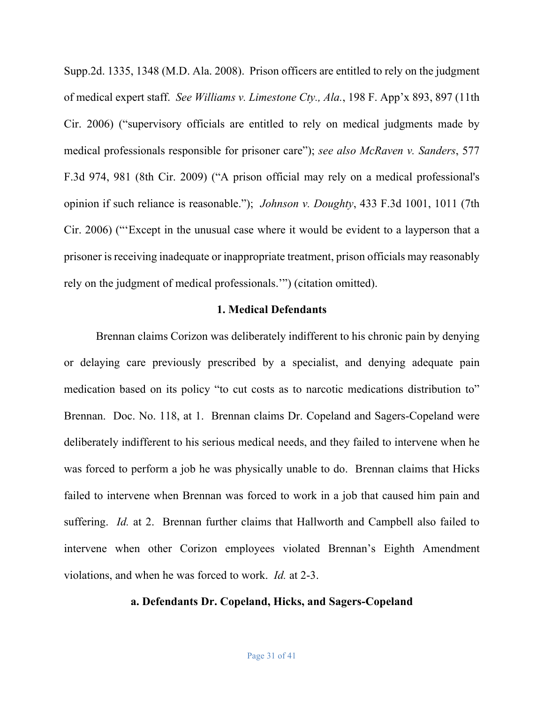Supp.2d. 1335, 1348 (M.D. Ala. 2008). Prison officers are entitled to rely on the judgment of medical expert staff. *See Williams v. Limestone Cty., Ala.*, 198 F. App'x 893, 897 (11th Cir. 2006) ("supervisory officials are entitled to rely on medical judgments made by medical professionals responsible for prisoner care"); *see also McRaven v. Sanders*, 577 F.3d 974, 981 (8th Cir. 2009) ("A prison official may rely on a medical professional's opinion if such reliance is reasonable."); *Johnson v. Doughty*, 433 F.3d 1001, 1011 (7th Cir. 2006) ("'Except in the unusual case where it would be evident to a layperson that a prisoner is receiving inadequate or inappropriate treatment, prison officials may reasonably rely on the judgment of medical professionals.'") (citation omitted).

## **1. Medical Defendants**

Brennan claims Corizon was deliberately indifferent to his chronic pain by denying or delaying care previously prescribed by a specialist, and denying adequate pain medication based on its policy "to cut costs as to narcotic medications distribution to" Brennan. Doc. No. 118, at 1. Brennan claims Dr. Copeland and Sagers-Copeland were deliberately indifferent to his serious medical needs, and they failed to intervene when he was forced to perform a job he was physically unable to do. Brennan claims that Hicks failed to intervene when Brennan was forced to work in a job that caused him pain and suffering. *Id.* at 2. Brennan further claims that Hallworth and Campbell also failed to intervene when other Corizon employees violated Brennan's Eighth Amendment violations, and when he was forced to work. *Id.* at 2-3.

## **a. Defendants Dr. Copeland, Hicks, and Sagers-Copeland**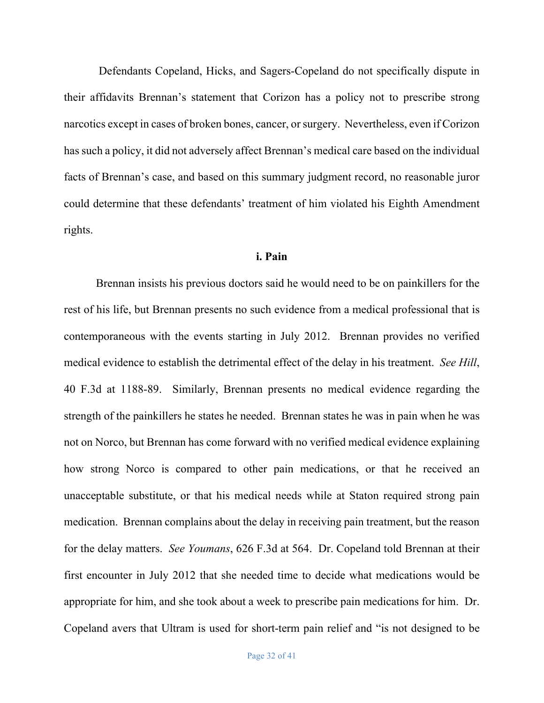Defendants Copeland, Hicks, and Sagers-Copeland do not specifically dispute in their affidavits Brennan's statement that Corizon has a policy not to prescribe strong narcotics except in cases of broken bones, cancer, or surgery. Nevertheless, even if Corizon has such a policy, it did not adversely affect Brennan's medical care based on the individual facts of Brennan's case, and based on this summary judgment record, no reasonable juror could determine that these defendants' treatment of him violated his Eighth Amendment rights.

#### **i. Pain**

Brennan insists his previous doctors said he would need to be on painkillers for the rest of his life, but Brennan presents no such evidence from a medical professional that is contemporaneous with the events starting in July 2012. Brennan provides no verified medical evidence to establish the detrimental effect of the delay in his treatment. *See Hill*, 40 F.3d at 1188-89. Similarly, Brennan presents no medical evidence regarding the strength of the painkillers he states he needed. Brennan states he was in pain when he was not on Norco, but Brennan has come forward with no verified medical evidence explaining how strong Norco is compared to other pain medications, or that he received an unacceptable substitute, or that his medical needs while at Staton required strong pain medication. Brennan complains about the delay in receiving pain treatment, but the reason for the delay matters. *See Youmans*, 626 F.3d at 564. Dr. Copeland told Brennan at their first encounter in July 2012 that she needed time to decide what medications would be appropriate for him, and she took about a week to prescribe pain medications for him. Dr. Copeland avers that Ultram is used for short-term pain relief and "is not designed to be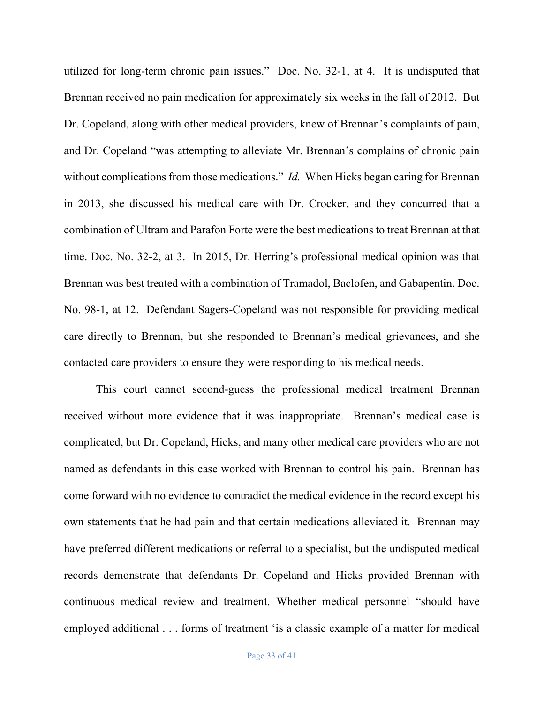utilized for long-term chronic pain issues." Doc. No. 32-1, at 4. It is undisputed that Brennan received no pain medication for approximately six weeks in the fall of 2012. But Dr. Copeland, along with other medical providers, knew of Brennan's complaints of pain, and Dr. Copeland "was attempting to alleviate Mr. Brennan's complains of chronic pain without complications from those medications." *Id.* When Hicks began caring for Brennan in 2013, she discussed his medical care with Dr. Crocker, and they concurred that a combination of Ultram and Parafon Forte were the best medications to treat Brennan at that time. Doc. No. 32-2, at 3. In 2015, Dr. Herring's professional medical opinion was that Brennan was best treated with a combination of Tramadol, Baclofen, and Gabapentin. Doc. No. 98-1, at 12. Defendant Sagers-Copeland was not responsible for providing medical care directly to Brennan, but she responded to Brennan's medical grievances, and she contacted care providers to ensure they were responding to his medical needs.

This court cannot second-guess the professional medical treatment Brennan received without more evidence that it was inappropriate. Brennan's medical case is complicated, but Dr. Copeland, Hicks, and many other medical care providers who are not named as defendants in this case worked with Brennan to control his pain. Brennan has come forward with no evidence to contradict the medical evidence in the record except his own statements that he had pain and that certain medications alleviated it. Brennan may have preferred different medications or referral to a specialist, but the undisputed medical records demonstrate that defendants Dr. Copeland and Hicks provided Brennan with continuous medical review and treatment. Whether medical personnel "should have employed additional . . . forms of treatment 'is a classic example of a matter for medical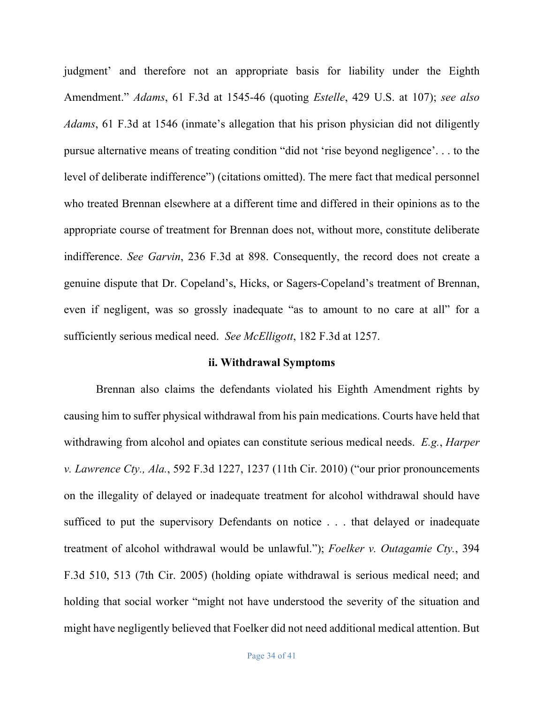judgment' and therefore not an appropriate basis for liability under the Eighth Amendment." *Adams*, 61 F.3d at 1545-46 (quoting *Estelle*, 429 U.S. at 107); *see also Adams*, 61 F.3d at 1546 (inmate's allegation that his prison physician did not diligently pursue alternative means of treating condition "did not 'rise beyond negligence'. . . to the level of deliberate indifference") (citations omitted). The mere fact that medical personnel who treated Brennan elsewhere at a different time and differed in their opinions as to the appropriate course of treatment for Brennan does not, without more, constitute deliberate indifference. *See Garvin*, 236 F.3d at 898. Consequently, the record does not create a genuine dispute that Dr. Copeland's, Hicks, or Sagers-Copeland's treatment of Brennan, even if negligent, was so grossly inadequate "as to amount to no care at all" for a sufficiently serious medical need. *See McElligott*, 182 F.3d at 1257.

#### **ii. Withdrawal Symptoms**

Brennan also claims the defendants violated his Eighth Amendment rights by causing him to suffer physical withdrawal from his pain medications. Courts have held that withdrawing from alcohol and opiates can constitute serious medical needs. *E.g.*, *Harper v. Lawrence Cty., Ala.*, 592 F.3d 1227, 1237 (11th Cir. 2010) ("our prior pronouncements on the illegality of delayed or inadequate treatment for alcohol withdrawal should have sufficed to put the supervisory Defendants on notice . . . that delayed or inadequate treatment of alcohol withdrawal would be unlawful."); *Foelker v. Outagamie Cty.*, 394 F.3d 510, 513 (7th Cir. 2005) (holding opiate withdrawal is serious medical need; and holding that social worker "might not have understood the severity of the situation and might have negligently believed that Foelker did not need additional medical attention. But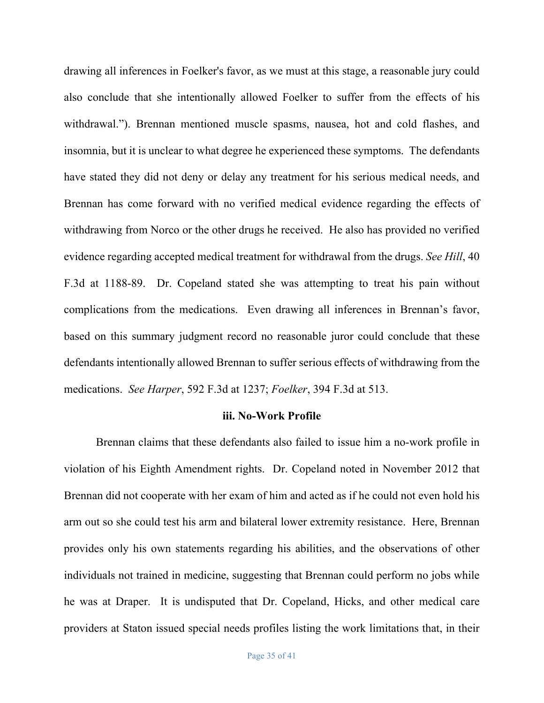drawing all inferences in Foelker's favor, as we must at this stage, a reasonable jury could also conclude that she intentionally allowed Foelker to suffer from the effects of his withdrawal."). Brennan mentioned muscle spasms, nausea, hot and cold flashes, and insomnia, but it is unclear to what degree he experienced these symptoms. The defendants have stated they did not deny or delay any treatment for his serious medical needs, and Brennan has come forward with no verified medical evidence regarding the effects of withdrawing from Norco or the other drugs he received. He also has provided no verified evidence regarding accepted medical treatment for withdrawal from the drugs. *See Hill*, 40 F.3d at 1188-89. Dr. Copeland stated she was attempting to treat his pain without complications from the medications. Even drawing all inferences in Brennan's favor, based on this summary judgment record no reasonable juror could conclude that these defendants intentionally allowed Brennan to suffer serious effects of withdrawing from the medications. *See Harper*, 592 F.3d at 1237; *Foelker*, 394 F.3d at 513.

#### **iii. No-Work Profile**

Brennan claims that these defendants also failed to issue him a no-work profile in violation of his Eighth Amendment rights. Dr. Copeland noted in November 2012 that Brennan did not cooperate with her exam of him and acted as if he could not even hold his arm out so she could test his arm and bilateral lower extremity resistance. Here, Brennan provides only his own statements regarding his abilities, and the observations of other individuals not trained in medicine, suggesting that Brennan could perform no jobs while he was at Draper. It is undisputed that Dr. Copeland, Hicks, and other medical care providers at Staton issued special needs profiles listing the work limitations that, in their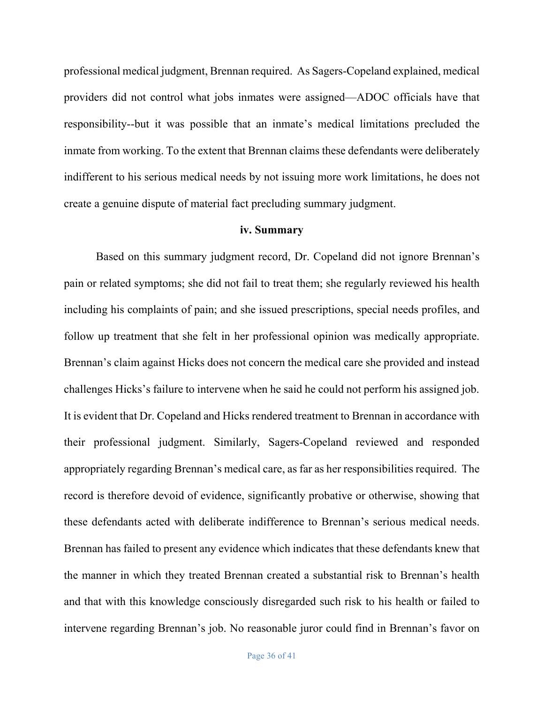professional medical judgment, Brennan required. As Sagers-Copeland explained, medical providers did not control what jobs inmates were assigned—ADOC officials have that responsibility--but it was possible that an inmate's medical limitations precluded the inmate from working. To the extent that Brennan claims these defendants were deliberately indifferent to his serious medical needs by not issuing more work limitations, he does not create a genuine dispute of material fact precluding summary judgment.

## **iv. Summary**

Based on this summary judgment record, Dr. Copeland did not ignore Brennan's pain or related symptoms; she did not fail to treat them; she regularly reviewed his health including his complaints of pain; and she issued prescriptions, special needs profiles, and follow up treatment that she felt in her professional opinion was medically appropriate. Brennan's claim against Hicks does not concern the medical care she provided and instead challenges Hicks's failure to intervene when he said he could not perform his assigned job. It is evident that Dr. Copeland and Hicks rendered treatment to Brennan in accordance with their professional judgment. Similarly, Sagers-Copeland reviewed and responded appropriately regarding Brennan's medical care, as far as her responsibilities required. The record is therefore devoid of evidence, significantly probative or otherwise, showing that these defendants acted with deliberate indifference to Brennan's serious medical needs. Brennan has failed to present any evidence which indicates that these defendants knew that the manner in which they treated Brennan created a substantial risk to Brennan's health and that with this knowledge consciously disregarded such risk to his health or failed to intervene regarding Brennan's job. No reasonable juror could find in Brennan's favor on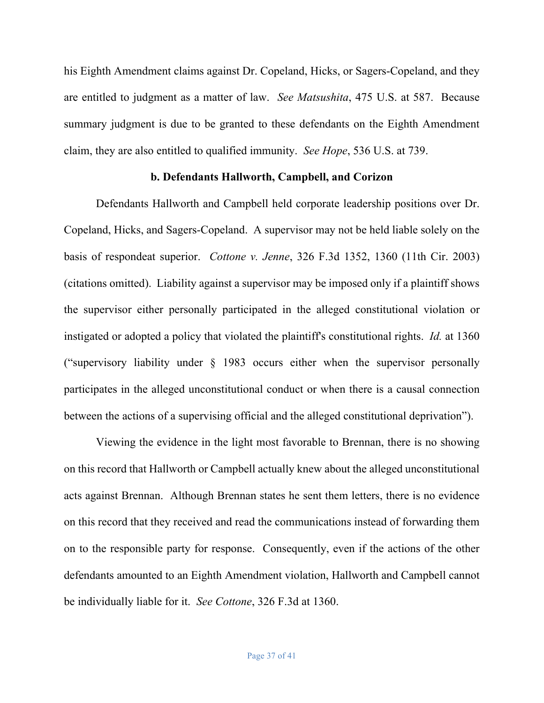his Eighth Amendment claims against Dr. Copeland, Hicks, or Sagers-Copeland, and they are entitled to judgment as a matter of law. *See Matsushita*, 475 U.S. at 587. Because summary judgment is due to be granted to these defendants on the Eighth Amendment claim, they are also entitled to qualified immunity. *See Hope*, 536 U.S. at 739.

### **b. Defendants Hallworth, Campbell, and Corizon**

Defendants Hallworth and Campbell held corporate leadership positions over Dr. Copeland, Hicks, and Sagers-Copeland. A supervisor may not be held liable solely on the basis of respondeat superior. *Cottone v. Jenne*, 326 F.3d 1352, 1360 (11th Cir. 2003) (citations omitted). Liability against a supervisor may be imposed only if a plaintiff shows the supervisor either personally participated in the alleged constitutional violation or instigated or adopted a policy that violated the plaintiff's constitutional rights. *Id.* at 1360 ("supervisory liability under  $\S$  1983 occurs either when the supervisor personally participates in the alleged unconstitutional conduct or when there is a causal connection between the actions of a supervising official and the alleged constitutional deprivation").

Viewing the evidence in the light most favorable to Brennan, there is no showing on this record that Hallworth or Campbell actually knew about the alleged unconstitutional acts against Brennan. Although Brennan states he sent them letters, there is no evidence on this record that they received and read the communications instead of forwarding them on to the responsible party for response. Consequently, even if the actions of the other defendants amounted to an Eighth Amendment violation, Hallworth and Campbell cannot be individually liable for it. *See Cottone*, 326 F.3d at 1360.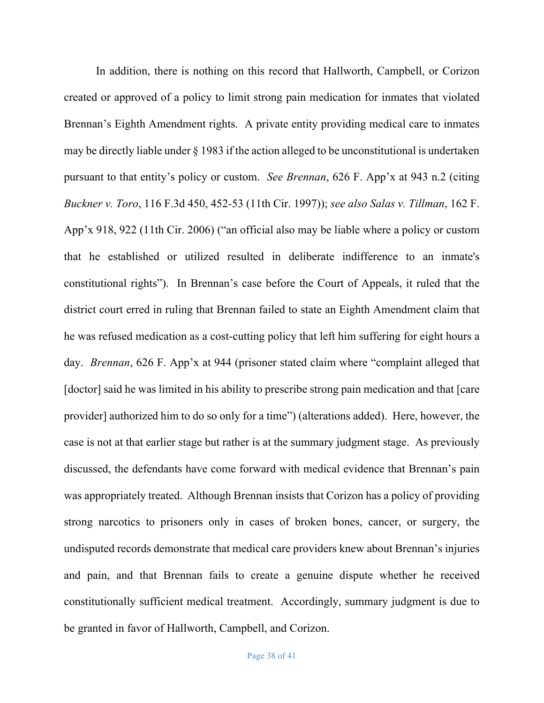In addition, there is nothing on this record that Hallworth, Campbell, or Corizon created or approved of a policy to limit strong pain medication for inmates that violated Brennan's Eighth Amendment rights. A private entity providing medical care to inmates may be directly liable under § 1983 if the action alleged to be unconstitutional is undertaken pursuant to that entity's policy or custom. *See Brennan*, 626 F. App'x at 943 n.2 (citing *Buckner v. Toro*, 116 F.3d 450, 452-53 (11th Cir. 1997)); *see also Salas v. Tillman*, 162 F. App'x 918, 922 (11th Cir. 2006) ("an official also may be liable where a policy or custom that he established or utilized resulted in deliberate indifference to an inmate's constitutional rights"). In Brennan's case before the Court of Appeals, it ruled that the district court erred in ruling that Brennan failed to state an Eighth Amendment claim that he was refused medication as a cost-cutting policy that left him suffering for eight hours a day. *Brennan*, 626 F. App'x at 944 (prisoner stated claim where "complaint alleged that [doctor] said he was limited in his ability to prescribe strong pain medication and that [care provider] authorized him to do so only for a time") (alterations added). Here, however, the case is not at that earlier stage but rather is at the summary judgment stage. As previously discussed, the defendants have come forward with medical evidence that Brennan's pain was appropriately treated. Although Brennan insists that Corizon has a policy of providing strong narcotics to prisoners only in cases of broken bones, cancer, or surgery, the undisputed records demonstrate that medical care providers knew about Brennan's injuries and pain, and that Brennan fails to create a genuine dispute whether he received constitutionally sufficient medical treatment. Accordingly, summary judgment is due to be granted in favor of Hallworth, Campbell, and Corizon.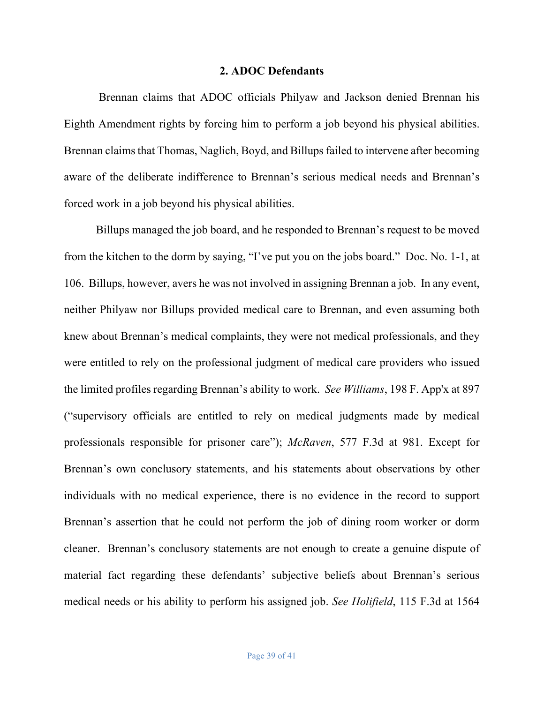#### **2. ADOC Defendants**

Brennan claims that ADOC officials Philyaw and Jackson denied Brennan his Eighth Amendment rights by forcing him to perform a job beyond his physical abilities. Brennan claims that Thomas, Naglich, Boyd, and Billups failed to intervene after becoming aware of the deliberate indifference to Brennan's serious medical needs and Brennan's forced work in a job beyond his physical abilities.

Billups managed the job board, and he responded to Brennan's request to be moved from the kitchen to the dorm by saying, "I've put you on the jobs board." Doc. No. 1-1, at 106. Billups, however, avers he was not involved in assigning Brennan a job. In any event, neither Philyaw nor Billups provided medical care to Brennan, and even assuming both knew about Brennan's medical complaints, they were not medical professionals, and they were entitled to rely on the professional judgment of medical care providers who issued the limited profiles regarding Brennan's ability to work. *See Williams*, 198 F. App'x at 897 ("supervisory officials are entitled to rely on medical judgments made by medical professionals responsible for prisoner care"); *McRaven*, 577 F.3d at 981. Except for Brennan's own conclusory statements, and his statements about observations by other individuals with no medical experience, there is no evidence in the record to support Brennan's assertion that he could not perform the job of dining room worker or dorm cleaner. Brennan's conclusory statements are not enough to create a genuine dispute of material fact regarding these defendants' subjective beliefs about Brennan's serious medical needs or his ability to perform his assigned job. *See Holifield*, 115 F.3d at 1564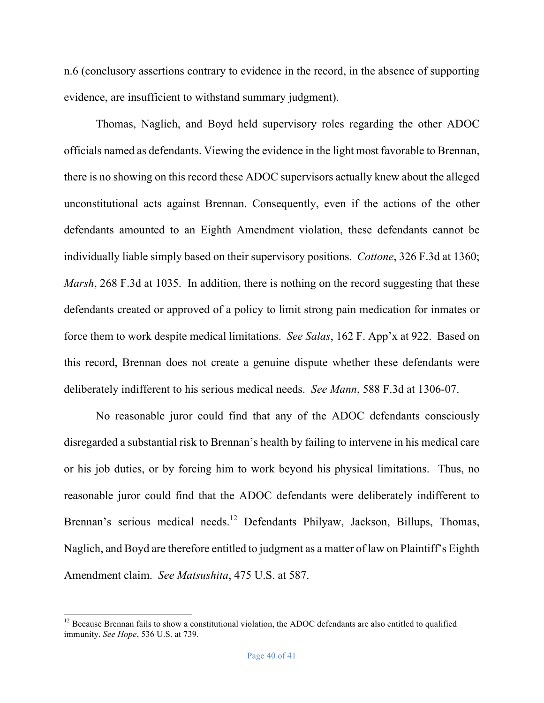n.6 (conclusory assertions contrary to evidence in the record, in the absence of supporting evidence, are insufficient to withstand summary judgment).

Thomas, Naglich, and Boyd held supervisory roles regarding the other ADOC officials named as defendants. Viewing the evidence in the light most favorable to Brennan, there is no showing on this record these ADOC supervisors actually knew about the alleged unconstitutional acts against Brennan. Consequently, even if the actions of the other defendants amounted to an Eighth Amendment violation, these defendants cannot be individually liable simply based on their supervisory positions. *Cottone*, 326 F.3d at 1360; *Marsh*, 268 F.3d at 1035. In addition, there is nothing on the record suggesting that these defendants created or approved of a policy to limit strong pain medication for inmates or force them to work despite medical limitations. *See Salas*, 162 F. App'x at 922. Based on this record, Brennan does not create a genuine dispute whether these defendants were deliberately indifferent to his serious medical needs. *See Mann*, 588 F.3d at 1306-07.

No reasonable juror could find that any of the ADOC defendants consciously disregarded a substantial risk to Brennan's health by failing to intervene in his medical care or his job duties, or by forcing him to work beyond his physical limitations. Thus, no reasonable juror could find that the ADOC defendants were deliberately indifferent to Brennan's serious medical needs.<sup>12</sup> Defendants Philyaw, Jackson, Billups, Thomas, Naglich, and Boyd are therefore entitled to judgment as a matter of law on Plaintiff's Eighth Amendment claim. *See Matsushita*, 475 U.S. at 587.

 $12$  Because Brennan fails to show a constitutional violation, the ADOC defendants are also entitled to qualified immunity. *See Hope*, 536 U.S. at 739.